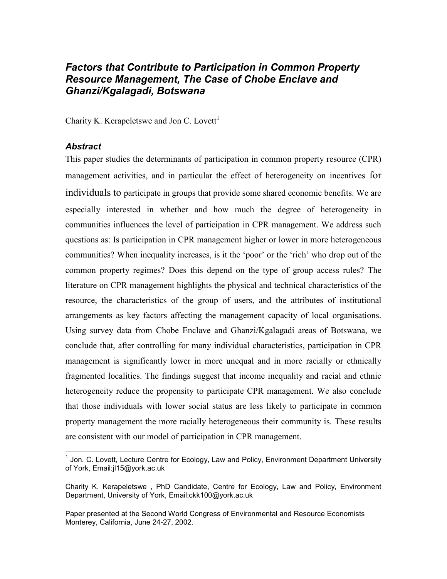# Factors that Contribute to Participation in Common Property Resource Management, The Case of Chobe Enclave and Ghanzi/Kgalagadi, Botswana

Charity K. Kerapeletswe and Jon C. Lovett<sup>1</sup>

## **Abstract**

This paper studies the determinants of participation in common property resource (CPR) management activities, and in particular the effect of heterogeneity on incentives for individuals to participate in groups that provide some shared economic benefits. We are especially interested in whether and how much the degree of heterogeneity in communities influences the level of participation in CPR management. We address such questions as: Is participation in CPR management higher or lower in more heterogeneous communities? When inequality increases, is it the 'poor' or the 'rich' who drop out of the common property regimes? Does this depend on the type of group access rules? The literature on CPR management highlights the physical and technical characteristics of the resource, the characteristics of the group of users, and the attributes of institutional arrangements as key factors affecting the management capacity of local organisations. Using survey data from Chobe Enclave and Ghanzi/Kgalagadi areas of Botswana, we conclude that, after controlling for many individual characteristics, participation in CPR management is significantly lower in more unequal and in more racially or ethnically fragmented localities. The findings suggest that income inequality and racial and ethnic heterogeneity reduce the propensity to participate CPR management. We also conclude that those individuals with lower social status are less likely to participate in common property management the more racially heterogeneous their community is. These results are consistent with our model of participation in CPR management.

<sup>————————————————————&</sup>lt;br><sup>1</sup> Jon. C. Lovett, Lecture Centre for Ecology, Law and Policy, Environment Department University of York, Email:jl15@york.ac.uk

Charity K. Kerapeletswe , PhD Candidate, Centre for Ecology, Law and Policy, Environment Department, University of York, Email:ckk100@york.ac.uk

Paper presented at the Second World Congress of Environmental and Resource Economists Monterey, California, June 24-27, 2002.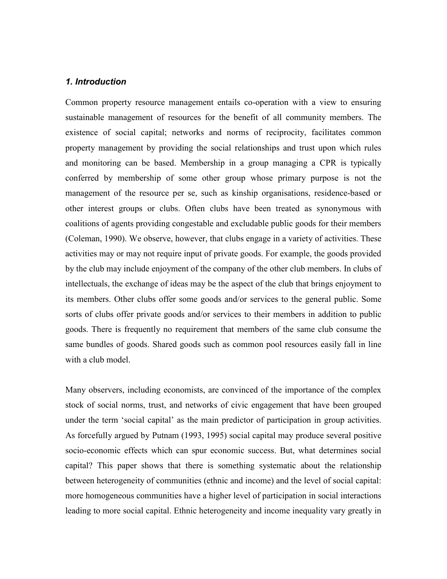## 1. Introduction

Common property resource management entails co-operation with a view to ensuring sustainable management of resources for the benefit of all community members. The existence of social capital; networks and norms of reciprocity, facilitates common property management by providing the social relationships and trust upon which rules and monitoring can be based. Membership in a group managing a CPR is typically conferred by membership of some other group whose primary purpose is not the management of the resource per se, such as kinship organisations, residence-based or other interest groups or clubs. Often clubs have been treated as synonymous with coalitions of agents providing congestable and excludable public goods for their members (Coleman, 1990). We observe, however, that clubs engage in a variety of activities. These activities may or may not require input of private goods. For example, the goods provided by the club may include enjoyment of the company of the other club members. In clubs of intellectuals, the exchange of ideas may be the aspect of the club that brings enjoyment to its members. Other clubs offer some goods and/or services to the general public. Some sorts of clubs offer private goods and/or services to their members in addition to public goods. There is frequently no requirement that members of the same club consume the same bundles of goods. Shared goods such as common pool resources easily fall in line with a club model.

Many observers, including economists, are convinced of the importance of the complex stock of social norms, trust, and networks of civic engagement that have been grouped under the term 'social capital' as the main predictor of participation in group activities. As forcefully argued by Putnam (1993, 1995) social capital may produce several positive socio-economic effects which can spur economic success. But, what determines social capital? This paper shows that there is something systematic about the relationship between heterogeneity of communities (ethnic and income) and the level of social capital: more homogeneous communities have a higher level of participation in social interactions leading to more social capital. Ethnic heterogeneity and income inequality vary greatly in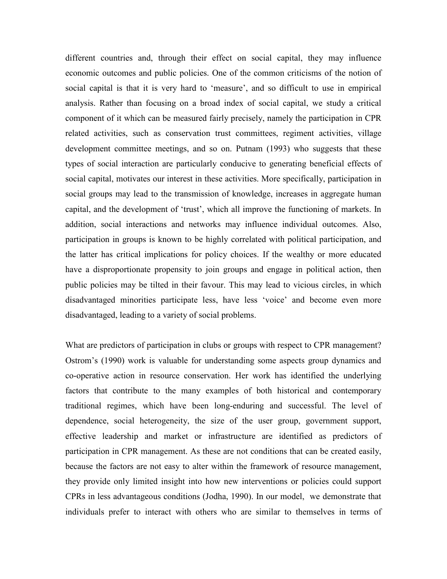different countries and, through their effect on social capital, they may influence economic outcomes and public policies. One of the common criticisms of the notion of social capital is that it is very hard to 'measure', and so difficult to use in empirical analysis. Rather than focusing on a broad index of social capital, we study a critical component of it which can be measured fairly precisely, namely the participation in CPR related activities, such as conservation trust committees, regiment activities, village development committee meetings, and so on. Putnam (1993) who suggests that these types of social interaction are particularly conducive to generating beneficial effects of social capital, motivates our interest in these activities. More specifically, participation in social groups may lead to the transmission of knowledge, increases in aggregate human capital, and the development of 'trust', which all improve the functioning of markets. In addition, social interactions and networks may influence individual outcomes. Also, participation in groups is known to be highly correlated with political participation, and the latter has critical implications for policy choices. If the wealthy or more educated have a disproportionate propensity to join groups and engage in political action, then public policies may be tilted in their favour. This may lead to vicious circles, in which disadvantaged minorities participate less, have less 'voice' and become even more disadvantaged, leading to a variety of social problems.

What are predictors of participation in clubs or groups with respect to CPR management? Ostrom's (1990) work is valuable for understanding some aspects group dynamics and co-operative action in resource conservation. Her work has identified the underlying factors that contribute to the many examples of both historical and contemporary traditional regimes, which have been long-enduring and successful. The level of dependence, social heterogeneity, the size of the user group, government support, effective leadership and market or infrastructure are identified as predictors of participation in CPR management. As these are not conditions that can be created easily, because the factors are not easy to alter within the framework of resource management, they provide only limited insight into how new interventions or policies could support CPRs in less advantageous conditions (Jodha, 1990). In our model, we demonstrate that individuals prefer to interact with others who are similar to themselves in terms of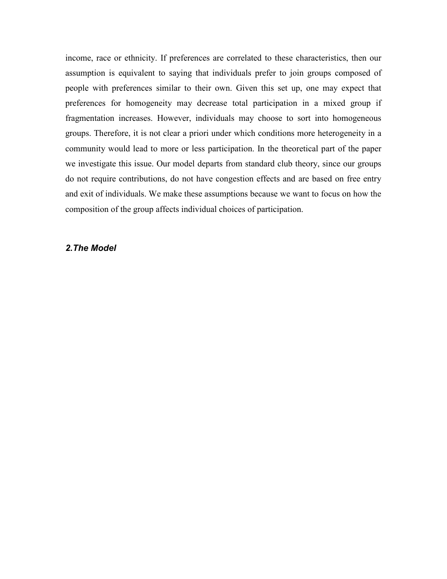income, race or ethnicity. If preferences are correlated to these characteristics, then our assumption is equivalent to saying that individuals prefer to join groups composed of people with preferences similar to their own. Given this set up, one may expect that preferences for homogeneity may decrease total participation in a mixed group if fragmentation increases. However, individuals may choose to sort into homogeneous groups. Therefore, it is not clear a priori under which conditions more heterogeneity in a community would lead to more or less participation. In the theoretical part of the paper we investigate this issue. Our model departs from standard club theory, since our groups do not require contributions, do not have congestion effects and are based on free entry and exit of individuals. We make these assumptions because we want to focus on how the composition of the group affects individual choices of participation.

### 2.The Model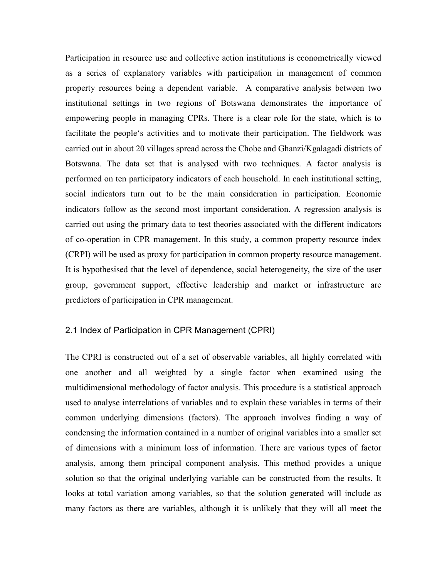Participation in resource use and collective action institutions is econometrically viewed as a series of explanatory variables with participation in management of common property resources being a dependent variable. A comparative analysis between two institutional settings in two regions of Botswana demonstrates the importance of empowering people in managing CPRs. There is a clear role for the state, which is to facilitate the people's activities and to motivate their participation. The fieldwork was carried out in about 20 villages spread across the Chobe and Ghanzi/Kgalagadi districts of Botswana. The data set that is analysed with two techniques. A factor analysis is performed on ten participatory indicators of each household. In each institutional setting, social indicators turn out to be the main consideration in participation. Economic indicators follow as the second most important consideration. A regression analysis is carried out using the primary data to test theories associated with the different indicators of co-operation in CPR management. In this study, a common property resource index (CRPI) will be used as proxy for participation in common property resource management. It is hypothesised that the level of dependence, social heterogeneity, the size of the user group, government support, effective leadership and market or infrastructure are predictors of participation in CPR management.

### 2.1 Index of Participation in CPR Management (CPRI)

The CPRI is constructed out of a set of observable variables, all highly correlated with one another and all weighted by a single factor when examined using the multidimensional methodology of factor analysis. This procedure is a statistical approach used to analyse interrelations of variables and to explain these variables in terms of their common underlying dimensions (factors). The approach involves finding a way of condensing the information contained in a number of original variables into a smaller set of dimensions with a minimum loss of information. There are various types of factor analysis, among them principal component analysis. This method provides a unique solution so that the original underlying variable can be constructed from the results. It looks at total variation among variables, so that the solution generated will include as many factors as there are variables, although it is unlikely that they will all meet the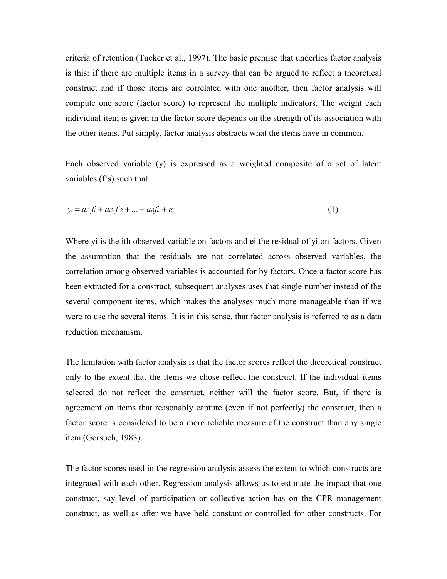criteria of retention (Tucker et al., 1997). The basic premise that underlies factor analysis is this: if there are multiple items in a survey that can be argued to reflect a theoretical construct and if those items are correlated with one another, then factor analysis will compute one score (factor score) to represent the multiple indicators. The weight each individual item is given in the factor score depends on the strength of its association with the other items. Put simply, factor analysis abstracts what the items have in common.

Each observed variable (y) is expressed as a weighted composite of a set of latent variables (f's) such that

$$
y_i = a_{i1}f_i + a_{i2}f_2 + ... + a_{ik}f_k + e_i
$$
 (1)

Where yi is the ith observed variable on factors and ei the residual of yi on factors. Given the assumption that the residuals are not correlated across observed variables, the correlation among observed variables is accounted for by factors. Once a factor score has been extracted for a construct, subsequent analyses uses that single number instead of the several component items, which makes the analyses much more manageable than if we were to use the several items. It is in this sense, that factor analysis is referred to as a data reduction mechanism.

The limitation with factor analysis is that the factor scores reflect the theoretical construct only to the extent that the items we chose reflect the construct. If the individual items selected do not reflect the construct, neither will the factor score. But, if there is agreement on items that reasonably capture (even if not perfectly) the construct, then a factor score is considered to be a more reliable measure of the construct than any single item (Gorsuch, 1983).

The factor scores used in the regression analysis assess the extent to which constructs are integrated with each other. Regression analysis allows us to estimate the impact that one construct, say level of participation or collective action has on the CPR management construct, as well as after we have held constant or controlled for other constructs. For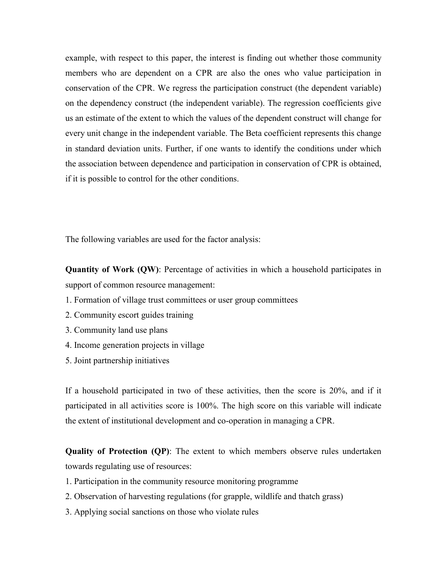example, with respect to this paper, the interest is finding out whether those community members who are dependent on a CPR are also the ones who value participation in conservation of the CPR. We regress the participation construct (the dependent variable) on the dependency construct (the independent variable). The regression coefficients give us an estimate of the extent to which the values of the dependent construct will change for every unit change in the independent variable. The Beta coefficient represents this change in standard deviation units. Further, if one wants to identify the conditions under which the association between dependence and participation in conservation of CPR is obtained, if it is possible to control for the other conditions.

The following variables are used for the factor analysis:

Quantity of Work (QW): Percentage of activities in which a household participates in support of common resource management:

- 1. Formation of village trust committees or user group committees
- 2. Community escort guides training
- 3. Community land use plans
- 4. Income generation projects in village
- 5. Joint partnership initiatives

If a household participated in two of these activities, then the score is 20%, and if it participated in all activities score is 100%. The high score on this variable will indicate the extent of institutional development and co-operation in managing a CPR.

Quality of Protection (QP): The extent to which members observe rules undertaken towards regulating use of resources:

- 1. Participation in the community resource monitoring programme
- 2. Observation of harvesting regulations (for grapple, wildlife and thatch grass)
- 3. Applying social sanctions on those who violate rules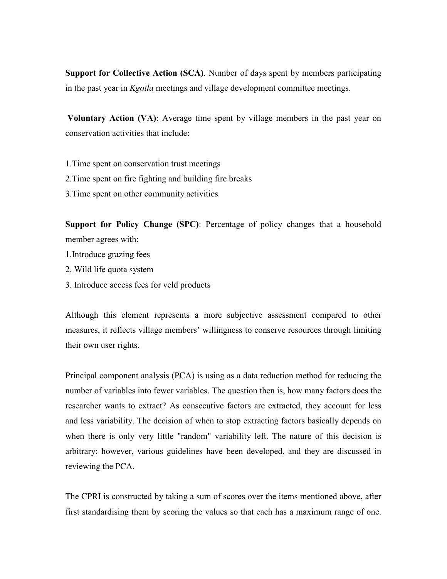Support for Collective Action (SCA). Number of days spent by members participating in the past year in *Kgotla* meetings and village development committee meetings.

 Voluntary Action (VA): Average time spent by village members in the past year on conservation activities that include:

- 1.Time spent on conservation trust meetings
- 2.Time spent on fire fighting and building fire breaks
- 3.Time spent on other community activities

Support for Policy Change (SPC): Percentage of policy changes that a household member agrees with:

- 1.Introduce grazing fees
- 2. Wild life quota system
- 3. Introduce access fees for veld products

Although this element represents a more subjective assessment compared to other measures, it reflects village members' willingness to conserve resources through limiting their own user rights.

Principal component analysis (PCA) is using as a data reduction method for reducing the number of variables into fewer variables. The question then is, how many factors does the researcher wants to extract? As consecutive factors are extracted, they account for less and less variability. The decision of when to stop extracting factors basically depends on when there is only very little "random" variability left. The nature of this decision is arbitrary; however, various guidelines have been developed, and they are discussed in reviewing the PCA.

The CPRI is constructed by taking a sum of scores over the items mentioned above, after first standardising them by scoring the values so that each has a maximum range of one.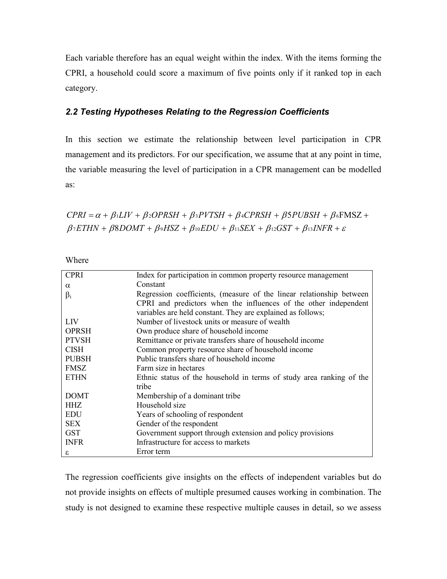Each variable therefore has an equal weight within the index. With the items forming the CPRI, a household could score a maximum of five points only if it ranked top in each category.

## 2.2 Testing Hypotheses Relating to the Regression Coefficients

In this section we estimate the relationship between level participation in CPR management and its predictors. For our specification, we assume that at any point in time, the variable measuring the level of participation in a CPR management can be modelled as:

 $\beta$ 1ETHN +  $\beta$ 8DOMT +  $\beta$ 9HSZ +  $\beta$ 10EDU +  $\beta$ 11SEX +  $\beta$ 12GST +  $\beta$ 13INFR +  $\varepsilon$  $CPRI = \alpha + \beta_1 LIV + \beta_2 OPRSH + \beta_3 PVTSH + \beta_4 CPRSH + \beta 5 PUBSH + \beta_6 FMSZ +$ 

Where

| <b>CPRI</b>  | Index for participation in common property resource management       |
|--------------|----------------------------------------------------------------------|
| $\alpha$     | Constant                                                             |
| $\beta_i$    | Regression coefficients, (measure of the linear relationship between |
|              | CPRI and predictors when the influences of the other independent     |
|              | variables are held constant. They are explained as follows;          |
| LIV          | Number of livestock units or measure of wealth                       |
| <b>OPRSH</b> | Own produce share of household income                                |
| <b>PTVSH</b> | Remittance or private transfers share of household income            |
| <b>CISH</b>  | Common property resource share of household income                   |
| <b>PUBSH</b> | Public transfers share of household income                           |
| <b>FMSZ</b>  | Farm size in hectares                                                |
| <b>ETHN</b>  | Ethnic status of the household in terms of study area ranking of the |
|              | tribe                                                                |
| <b>DOMT</b>  | Membership of a dominant tribe                                       |
| <b>HHZ</b>   | Household size                                                       |
| <b>EDU</b>   | Years of schooling of respondent                                     |
| <b>SEX</b>   | Gender of the respondent                                             |
| <b>GST</b>   | Government support through extension and policy provisions           |
| <b>INFR</b>  | Infrastructure for access to markets                                 |
| ε            | Error term                                                           |

The regression coefficients give insights on the effects of independent variables but do not provide insights on effects of multiple presumed causes working in combination. The study is not designed to examine these respective multiple causes in detail, so we assess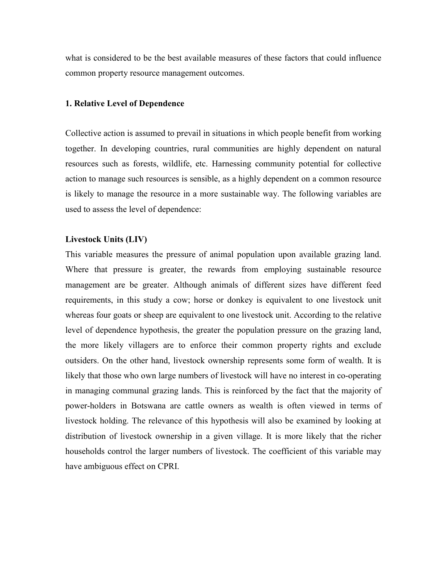what is considered to be the best available measures of these factors that could influence common property resource management outcomes.

#### 1. Relative Level of Dependence

Collective action is assumed to prevail in situations in which people benefit from working together. In developing countries, rural communities are highly dependent on natural resources such as forests, wildlife, etc. Harnessing community potential for collective action to manage such resources is sensible, as a highly dependent on a common resource is likely to manage the resource in a more sustainable way. The following variables are used to assess the level of dependence:

#### Livestock Units (LIV)

This variable measures the pressure of animal population upon available grazing land. Where that pressure is greater, the rewards from employing sustainable resource management are be greater. Although animals of different sizes have different feed requirements, in this study a cow; horse or donkey is equivalent to one livestock unit whereas four goats or sheep are equivalent to one livestock unit. According to the relative level of dependence hypothesis, the greater the population pressure on the grazing land, the more likely villagers are to enforce their common property rights and exclude outsiders. On the other hand, livestock ownership represents some form of wealth. It is likely that those who own large numbers of livestock will have no interest in co-operating in managing communal grazing lands. This is reinforced by the fact that the majority of power-holders in Botswana are cattle owners as wealth is often viewed in terms of livestock holding. The relevance of this hypothesis will also be examined by looking at distribution of livestock ownership in a given village. It is more likely that the richer households control the larger numbers of livestock. The coefficient of this variable may have ambiguous effect on CPRI.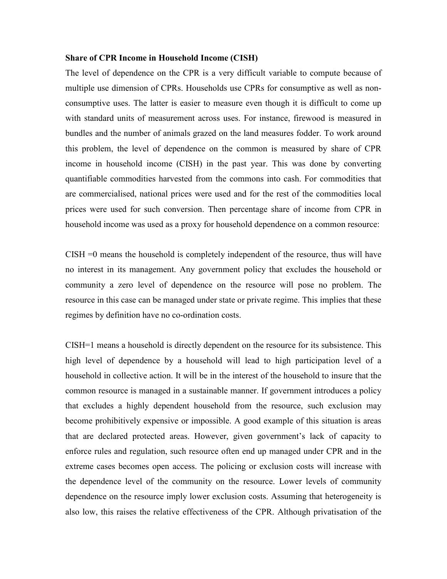#### Share of CPR Income in Household Income (CISH)

The level of dependence on the CPR is a very difficult variable to compute because of multiple use dimension of CPRs. Households use CPRs for consumptive as well as nonconsumptive uses. The latter is easier to measure even though it is difficult to come up with standard units of measurement across uses. For instance, firewood is measured in bundles and the number of animals grazed on the land measures fodder. To work around this problem, the level of dependence on the common is measured by share of CPR income in household income (CISH) in the past year. This was done by converting quantifiable commodities harvested from the commons into cash. For commodities that are commercialised, national prices were used and for the rest of the commodities local prices were used for such conversion. Then percentage share of income from CPR in household income was used as a proxy for household dependence on a common resource:

CISH =0 means the household is completely independent of the resource, thus will have no interest in its management. Any government policy that excludes the household or community a zero level of dependence on the resource will pose no problem. The resource in this case can be managed under state or private regime. This implies that these regimes by definition have no co-ordination costs.

CISH=1 means a household is directly dependent on the resource for its subsistence. This high level of dependence by a household will lead to high participation level of a household in collective action. It will be in the interest of the household to insure that the common resource is managed in a sustainable manner. If government introduces a policy that excludes a highly dependent household from the resource, such exclusion may become prohibitively expensive or impossible. A good example of this situation is areas that are declared protected areas. However, given government's lack of capacity to enforce rules and regulation, such resource often end up managed under CPR and in the extreme cases becomes open access. The policing or exclusion costs will increase with the dependence level of the community on the resource. Lower levels of community dependence on the resource imply lower exclusion costs. Assuming that heterogeneity is also low, this raises the relative effectiveness of the CPR. Although privatisation of the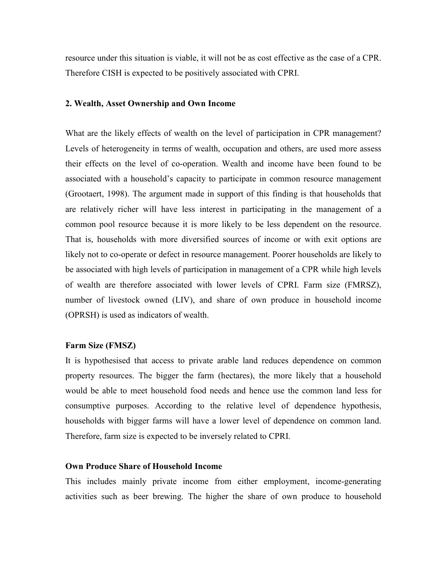resource under this situation is viable, it will not be as cost effective as the case of a CPR. Therefore CISH is expected to be positively associated with CPRI.

#### 2. Wealth, Asset Ownership and Own Income

What are the likely effects of wealth on the level of participation in CPR management? Levels of heterogeneity in terms of wealth, occupation and others, are used more assess their effects on the level of co-operation. Wealth and income have been found to be associated with a household's capacity to participate in common resource management (Grootaert, 1998). The argument made in support of this finding is that households that are relatively richer will have less interest in participating in the management of a common pool resource because it is more likely to be less dependent on the resource. That is, households with more diversified sources of income or with exit options are likely not to co-operate or defect in resource management. Poorer households are likely to be associated with high levels of participation in management of a CPR while high levels of wealth are therefore associated with lower levels of CPRI. Farm size (FMRSZ), number of livestock owned (LIV), and share of own produce in household income (OPRSH) is used as indicators of wealth.

### Farm Size (FMSZ)

It is hypothesised that access to private arable land reduces dependence on common property resources. The bigger the farm (hectares), the more likely that a household would be able to meet household food needs and hence use the common land less for consumptive purposes. According to the relative level of dependence hypothesis, households with bigger farms will have a lower level of dependence on common land. Therefore, farm size is expected to be inversely related to CPRI.

## Own Produce Share of Household Income

This includes mainly private income from either employment, income-generating activities such as beer brewing. The higher the share of own produce to household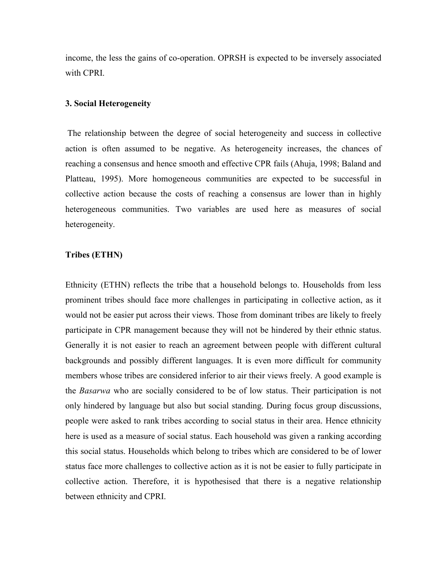income, the less the gains of co-operation. OPRSH is expected to be inversely associated with CPRI.

#### 3. Social Heterogeneity

The relationship between the degree of social heterogeneity and success in collective action is often assumed to be negative. As heterogeneity increases, the chances of reaching a consensus and hence smooth and effective CPR fails (Ahuja, 1998; Baland and Platteau, 1995). More homogeneous communities are expected to be successful in collective action because the costs of reaching a consensus are lower than in highly heterogeneous communities. Two variables are used here as measures of social heterogeneity.

#### Tribes (ETHN)

Ethnicity (ETHN) reflects the tribe that a household belongs to. Households from less prominent tribes should face more challenges in participating in collective action, as it would not be easier put across their views. Those from dominant tribes are likely to freely participate in CPR management because they will not be hindered by their ethnic status. Generally it is not easier to reach an agreement between people with different cultural backgrounds and possibly different languages. It is even more difficult for community members whose tribes are considered inferior to air their views freely. A good example is the *Basarwa* who are socially considered to be of low status. Their participation is not only hindered by language but also but social standing. During focus group discussions, people were asked to rank tribes according to social status in their area. Hence ethnicity here is used as a measure of social status. Each household was given a ranking according this social status. Households which belong to tribes which are considered to be of lower status face more challenges to collective action as it is not be easier to fully participate in collective action. Therefore, it is hypothesised that there is a negative relationship between ethnicity and CPRI.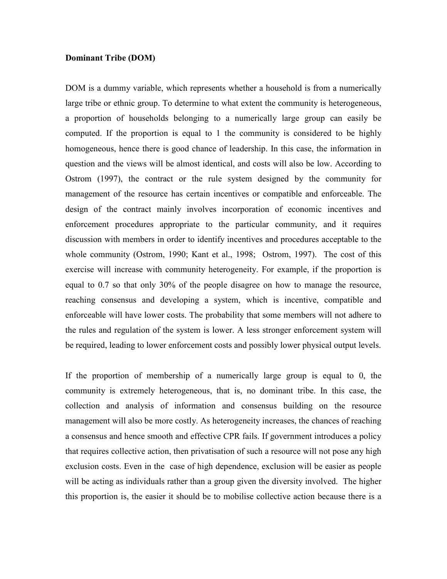### Dominant Tribe (DOM)

DOM is a dummy variable, which represents whether a household is from a numerically large tribe or ethnic group. To determine to what extent the community is heterogeneous, a proportion of households belonging to a numerically large group can easily be computed. If the proportion is equal to 1 the community is considered to be highly homogeneous, hence there is good chance of leadership. In this case, the information in question and the views will be almost identical, and costs will also be low. According to Ostrom (1997), the contract or the rule system designed by the community for management of the resource has certain incentives or compatible and enforceable. The design of the contract mainly involves incorporation of economic incentives and enforcement procedures appropriate to the particular community, and it requires discussion with members in order to identify incentives and procedures acceptable to the whole community (Ostrom, 1990; Kant et al., 1998; Ostrom, 1997). The cost of this exercise will increase with community heterogeneity. For example, if the proportion is equal to 0.7 so that only 30% of the people disagree on how to manage the resource, reaching consensus and developing a system, which is incentive, compatible and enforceable will have lower costs. The probability that some members will not adhere to the rules and regulation of the system is lower. A less stronger enforcement system will be required, leading to lower enforcement costs and possibly lower physical output levels.

If the proportion of membership of a numerically large group is equal to 0, the community is extremely heterogeneous, that is, no dominant tribe. In this case, the collection and analysis of information and consensus building on the resource management will also be more costly. As heterogeneity increases, the chances of reaching a consensus and hence smooth and effective CPR fails. If government introduces a policy that requires collective action, then privatisation of such a resource will not pose any high exclusion costs. Even in the case of high dependence, exclusion will be easier as people will be acting as individuals rather than a group given the diversity involved. The higher this proportion is, the easier it should be to mobilise collective action because there is a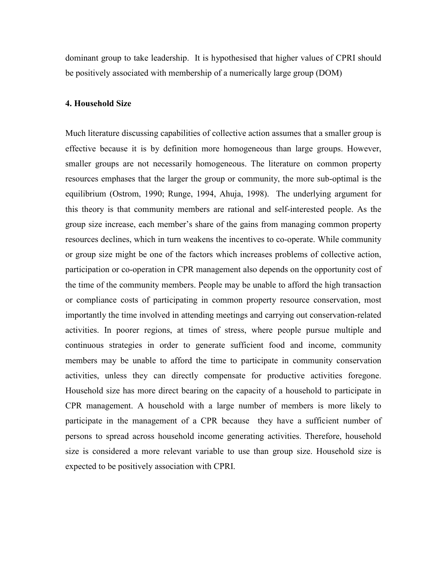dominant group to take leadership. It is hypothesised that higher values of CPRI should be positively associated with membership of a numerically large group (DOM)

#### 4. Household Size

Much literature discussing capabilities of collective action assumes that a smaller group is effective because it is by definition more homogeneous than large groups. However, smaller groups are not necessarily homogeneous. The literature on common property resources emphases that the larger the group or community, the more sub-optimal is the equilibrium (Ostrom, 1990; Runge, 1994, Ahuja, 1998). The underlying argument for this theory is that community members are rational and self-interested people. As the group size increase, each member's share of the gains from managing common property resources declines, which in turn weakens the incentives to co-operate. While community or group size might be one of the factors which increases problems of collective action, participation or co-operation in CPR management also depends on the opportunity cost of the time of the community members. People may be unable to afford the high transaction or compliance costs of participating in common property resource conservation, most importantly the time involved in attending meetings and carrying out conservation-related activities. In poorer regions, at times of stress, where people pursue multiple and continuous strategies in order to generate sufficient food and income, community members may be unable to afford the time to participate in community conservation activities, unless they can directly compensate for productive activities foregone. Household size has more direct bearing on the capacity of a household to participate in CPR management. A household with a large number of members is more likely to participate in the management of a CPR because they have a sufficient number of persons to spread across household income generating activities. Therefore, household size is considered a more relevant variable to use than group size. Household size is expected to be positively association with CPRI.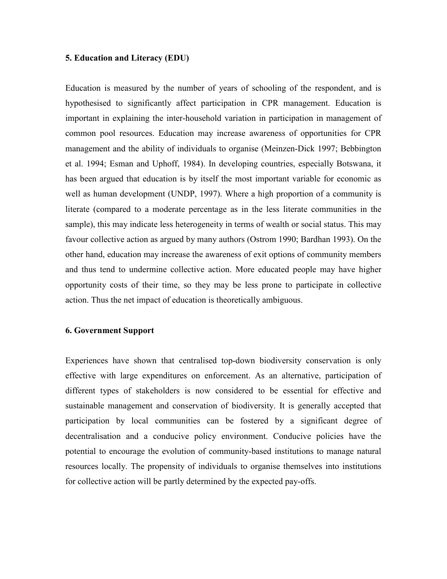#### 5. Education and Literacy (EDU)

Education is measured by the number of years of schooling of the respondent, and is hypothesised to significantly affect participation in CPR management. Education is important in explaining the inter-household variation in participation in management of common pool resources. Education may increase awareness of opportunities for CPR management and the ability of individuals to organise (Meinzen-Dick 1997; Bebbington et al. 1994; Esman and Uphoff, 1984). In developing countries, especially Botswana, it has been argued that education is by itself the most important variable for economic as well as human development (UNDP, 1997). Where a high proportion of a community is literate (compared to a moderate percentage as in the less literate communities in the sample), this may indicate less heterogeneity in terms of wealth or social status. This may favour collective action as argued by many authors (Ostrom 1990; Bardhan 1993). On the other hand, education may increase the awareness of exit options of community members and thus tend to undermine collective action. More educated people may have higher opportunity costs of their time, so they may be less prone to participate in collective action. Thus the net impact of education is theoretically ambiguous.

#### 6. Government Support

Experiences have shown that centralised top-down biodiversity conservation is only effective with large expenditures on enforcement. As an alternative, participation of different types of stakeholders is now considered to be essential for effective and sustainable management and conservation of biodiversity. It is generally accepted that participation by local communities can be fostered by a significant degree of decentralisation and a conducive policy environment. Conducive policies have the potential to encourage the evolution of community-based institutions to manage natural resources locally. The propensity of individuals to organise themselves into institutions for collective action will be partly determined by the expected pay-offs.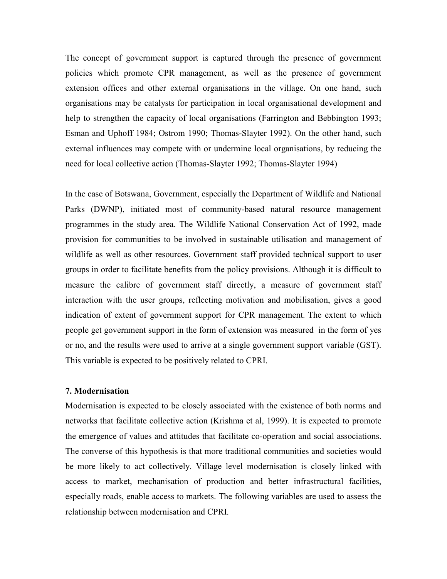The concept of government support is captured through the presence of government policies which promote CPR management, as well as the presence of government extension offices and other external organisations in the village. On one hand, such organisations may be catalysts for participation in local organisational development and help to strengthen the capacity of local organisations (Farrington and Bebbington 1993; Esman and Uphoff 1984; Ostrom 1990; Thomas-Slayter 1992). On the other hand, such external influences may compete with or undermine local organisations, by reducing the need for local collective action (Thomas-Slayter 1992; Thomas-Slayter 1994)

In the case of Botswana, Government, especially the Department of Wildlife and National Parks (DWNP), initiated most of community-based natural resource management programmes in the study area. The Wildlife National Conservation Act of 1992, made provision for communities to be involved in sustainable utilisation and management of wildlife as well as other resources. Government staff provided technical support to user groups in order to facilitate benefits from the policy provisions. Although it is difficult to measure the calibre of government staff directly, a measure of government staff interaction with the user groups, reflecting motivation and mobilisation, gives a good indication of extent of government support for CPR management. The extent to which people get government support in the form of extension was measured in the form of yes or no, and the results were used to arrive at a single government support variable (GST). This variable is expected to be positively related to CPRI.

### 7. Modernisation

Modernisation is expected to be closely associated with the existence of both norms and networks that facilitate collective action (Krishma et al, 1999). It is expected to promote the emergence of values and attitudes that facilitate co-operation and social associations. The converse of this hypothesis is that more traditional communities and societies would be more likely to act collectively. Village level modernisation is closely linked with access to market, mechanisation of production and better infrastructural facilities, especially roads, enable access to markets. The following variables are used to assess the relationship between modernisation and CPRI.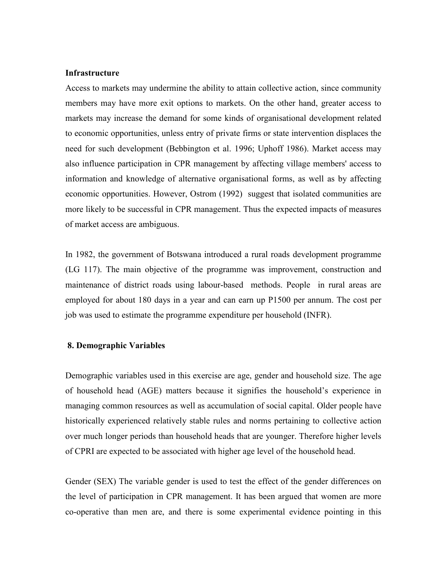#### **Infrastructure**

Access to markets may undermine the ability to attain collective action, since community members may have more exit options to markets. On the other hand, greater access to markets may increase the demand for some kinds of organisational development related to economic opportunities, unless entry of private firms or state intervention displaces the need for such development (Bebbington et al. 1996; Uphoff 1986). Market access may also influence participation in CPR management by affecting village members' access to information and knowledge of alternative organisational forms, as well as by affecting economic opportunities. However, Ostrom (1992) suggest that isolated communities are more likely to be successful in CPR management. Thus the expected impacts of measures of market access are ambiguous.

In 1982, the government of Botswana introduced a rural roads development programme (LG 117). The main objective of the programme was improvement, construction and maintenance of district roads using labour-based methods. People in rural areas are employed for about 180 days in a year and can earn up P1500 per annum. The cost per job was used to estimate the programme expenditure per household (INFR).

#### 8. Demographic Variables

Demographic variables used in this exercise are age, gender and household size. The age of household head (AGE) matters because it signifies the household's experience in managing common resources as well as accumulation of social capital. Older people have historically experienced relatively stable rules and norms pertaining to collective action over much longer periods than household heads that are younger. Therefore higher levels of CPRI are expected to be associated with higher age level of the household head.

Gender (SEX) The variable gender is used to test the effect of the gender differences on the level of participation in CPR management. It has been argued that women are more co-operative than men are, and there is some experimental evidence pointing in this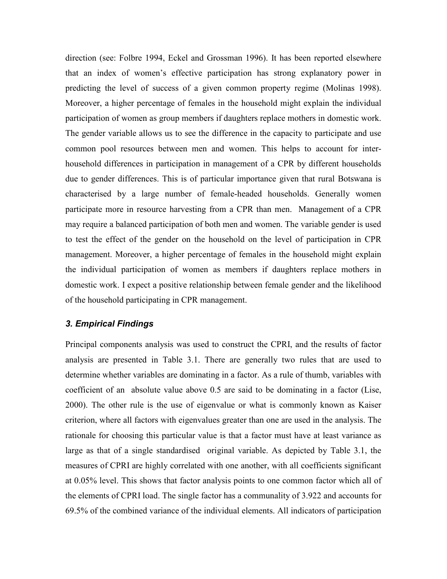direction (see: Folbre 1994, Eckel and Grossman 1996). It has been reported elsewhere that an index of women's effective participation has strong explanatory power in predicting the level of success of a given common property regime (Molinas 1998). Moreover, a higher percentage of females in the household might explain the individual participation of women as group members if daughters replace mothers in domestic work. The gender variable allows us to see the difference in the capacity to participate and use common pool resources between men and women. This helps to account for interhousehold differences in participation in management of a CPR by different households due to gender differences. This is of particular importance given that rural Botswana is characterised by a large number of female-headed households. Generally women participate more in resource harvesting from a CPR than men. Management of a CPR may require a balanced participation of both men and women. The variable gender is used to test the effect of the gender on the household on the level of participation in CPR management. Moreover, a higher percentage of females in the household might explain the individual participation of women as members if daughters replace mothers in domestic work. I expect a positive relationship between female gender and the likelihood of the household participating in CPR management.

## 3. Empirical Findings

Principal components analysis was used to construct the CPRI, and the results of factor analysis are presented in Table 3.1. There are generally two rules that are used to determine whether variables are dominating in a factor. As a rule of thumb, variables with coefficient of an absolute value above 0.5 are said to be dominating in a factor (Lise, 2000). The other rule is the use of eigenvalue or what is commonly known as Kaiser criterion, where all factors with eigenvalues greater than one are used in the analysis. The rationale for choosing this particular value is that a factor must have at least variance as large as that of a single standardised original variable. As depicted by Table 3.1, the measures of CPRI are highly correlated with one another, with all coefficients significant at 0.05% level. This shows that factor analysis points to one common factor which all of the elements of CPRI load. The single factor has a communality of 3.922 and accounts for 69.5% of the combined variance of the individual elements. All indicators of participation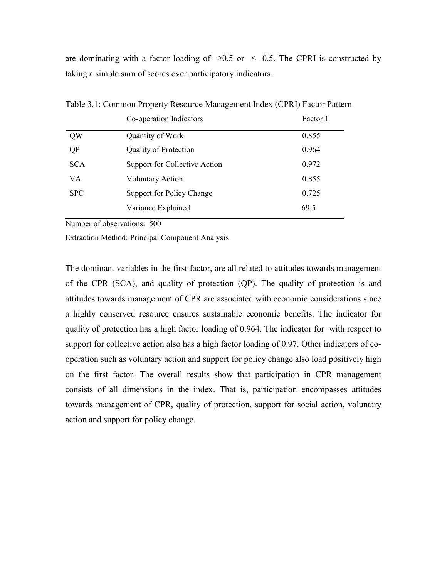are dominating with a factor loading of  $\geq 0.5$  or  $\leq -0.5$ . The CPRI is constructed by taking a simple sum of scores over participatory indicators.

|            | Co-operation Indicators       | Factor 1 |  |
|------------|-------------------------------|----------|--|
| QW         | Quantity of Work              | 0.855    |  |
| <b>QP</b>  | <b>Quality of Protection</b>  | 0.964    |  |
| <b>SCA</b> | Support for Collective Action | 0.972    |  |
| VА         | <b>Voluntary Action</b>       | 0.855    |  |
| <b>SPC</b> | Support for Policy Change     | 0.725    |  |
|            | Variance Explained            | 69.5     |  |

Table 3.1: Common Property Resource Management Index (CPRI) Factor Pattern

Number of observations: 500

Extraction Method: Principal Component Analysis

The dominant variables in the first factor, are all related to attitudes towards management of the CPR (SCA), and quality of protection (QP). The quality of protection is and attitudes towards management of CPR are associated with economic considerations since a highly conserved resource ensures sustainable economic benefits. The indicator for quality of protection has a high factor loading of 0.964. The indicator for with respect to support for collective action also has a high factor loading of 0.97. Other indicators of cooperation such as voluntary action and support for policy change also load positively high on the first factor. The overall results show that participation in CPR management consists of all dimensions in the index. That is, participation encompasses attitudes towards management of CPR, quality of protection, support for social action, voluntary action and support for policy change.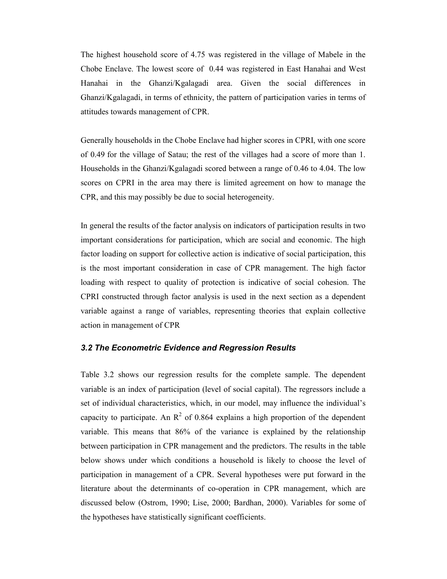The highest household score of 4.75 was registered in the village of Mabele in the Chobe Enclave. The lowest score of 0.44 was registered in East Hanahai and West Hanahai in the Ghanzi/Kgalagadi area. Given the social differences in Ghanzi/Kgalagadi, in terms of ethnicity, the pattern of participation varies in terms of attitudes towards management of CPR.

Generally households in the Chobe Enclave had higher scores in CPRI, with one score of 0.49 for the village of Satau; the rest of the villages had a score of more than 1. Households in the Ghanzi/Kgalagadi scored between a range of 0.46 to 4.04. The low scores on CPRI in the area may there is limited agreement on how to manage the CPR, and this may possibly be due to social heterogeneity.

In general the results of the factor analysis on indicators of participation results in two important considerations for participation, which are social and economic. The high factor loading on support for collective action is indicative of social participation, this is the most important consideration in case of CPR management. The high factor loading with respect to quality of protection is indicative of social cohesion. The CPRI constructed through factor analysis is used in the next section as a dependent variable against a range of variables, representing theories that explain collective action in management of CPR

#### 3.2 The Econometric Evidence and Regression Results

Table 3.2 shows our regression results for the complete sample. The dependent variable is an index of participation (level of social capital). The regressors include a set of individual characteristics, which, in our model, may influence the individual's capacity to participate. An  $\mathbb{R}^2$  of 0.864 explains a high proportion of the dependent variable. This means that 86% of the variance is explained by the relationship between participation in CPR management and the predictors. The results in the table below shows under which conditions a household is likely to choose the level of participation in management of a CPR. Several hypotheses were put forward in the literature about the determinants of co-operation in CPR management, which are discussed below (Ostrom, 1990; Lise, 2000; Bardhan, 2000). Variables for some of the hypotheses have statistically significant coefficients.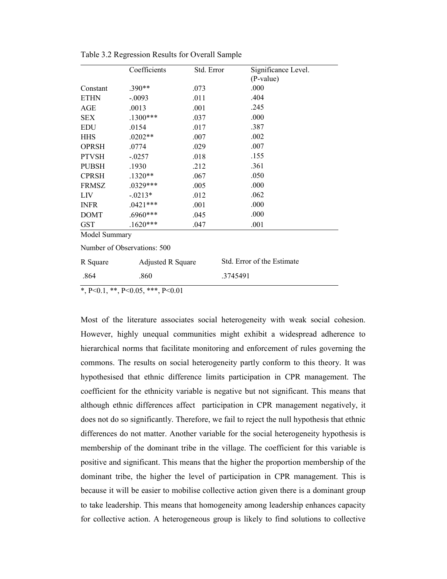|               | Coefficients                | Std. Error | Significance Level.        |  |
|---------------|-----------------------------|------------|----------------------------|--|
|               |                             |            | (P-value)                  |  |
| Constant      | $.390**$                    | .073       | .000                       |  |
| <b>ETHN</b>   | $-.0093$                    | .011       | .404                       |  |
| AGE           | .0013                       | .001       | .245                       |  |
| <b>SEX</b>    | $.1300***$                  | .037       | .000                       |  |
| <b>EDU</b>    | .0154                       | .017       | .387                       |  |
| <b>HHS</b>    | $.0202**$                   | .007       | .002                       |  |
| <b>OPRSH</b>  | .0774                       | .029       | .007                       |  |
| <b>PTVSH</b>  | $-.0257$                    | .018       | .155                       |  |
| <b>PUBSH</b>  | .1930                       | .212       | .361                       |  |
| <b>CPRSH</b>  | $.1320**$                   | .067       | .050                       |  |
| <b>FRMSZ</b>  | $.0329***$                  | .005       | .000                       |  |
| LIV           | $-0.0213*$                  | .012       | .062                       |  |
| <b>INFR</b>   | $.0421***$                  | .001       | .000                       |  |
| <b>DOMT</b>   | $.6960***$                  | .045       | .000                       |  |
| <b>GST</b>    | $.1620***$                  | .047       | .001                       |  |
| Model Summary |                             |            |                            |  |
|               | Number of Observations: 500 |            |                            |  |
| R Square      | <b>Adjusted R Square</b>    |            | Std. Error of the Estimate |  |
| .864          | .860                        |            | .3745491                   |  |
|               |                             |            |                            |  |

Table 3.2 Regression Results for Overall Sample

\*, P<0.1, \*\*, P<0.05, \*\*\*, P<0.01

Most of the literature associates social heterogeneity with weak social cohesion. However, highly unequal communities might exhibit a widespread adherence to hierarchical norms that facilitate monitoring and enforcement of rules governing the commons. The results on social heterogeneity partly conform to this theory. It was hypothesised that ethnic difference limits participation in CPR management. The coefficient for the ethnicity variable is negative but not significant. This means that although ethnic differences affect participation in CPR management negatively, it does not do so significantly. Therefore, we fail to reject the null hypothesis that ethnic differences do not matter. Another variable for the social heterogeneity hypothesis is membership of the dominant tribe in the village. The coefficient for this variable is positive and significant. This means that the higher the proportion membership of the dominant tribe, the higher the level of participation in CPR management. This is because it will be easier to mobilise collective action given there is a dominant group to take leadership. This means that homogeneity among leadership enhances capacity for collective action. A heterogeneous group is likely to find solutions to collective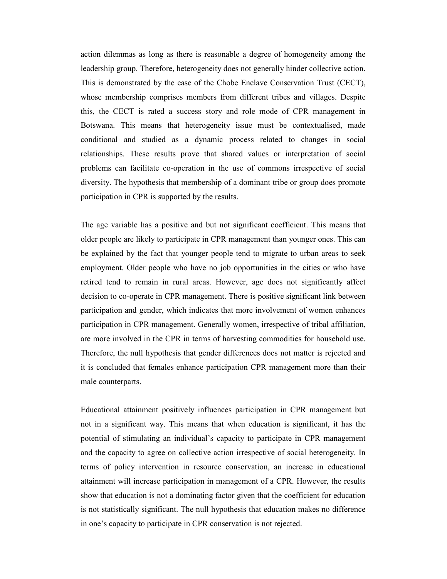action dilemmas as long as there is reasonable a degree of homogeneity among the leadership group. Therefore, heterogeneity does not generally hinder collective action. This is demonstrated by the case of the Chobe Enclave Conservation Trust (CECT), whose membership comprises members from different tribes and villages. Despite this, the CECT is rated a success story and role mode of CPR management in Botswana. This means that heterogeneity issue must be contextualised, made conditional and studied as a dynamic process related to changes in social relationships. These results prove that shared values or interpretation of social problems can facilitate co-operation in the use of commons irrespective of social diversity. The hypothesis that membership of a dominant tribe or group does promote participation in CPR is supported by the results.

The age variable has a positive and but not significant coefficient. This means that older people are likely to participate in CPR management than younger ones. This can be explained by the fact that younger people tend to migrate to urban areas to seek employment. Older people who have no job opportunities in the cities or who have retired tend to remain in rural areas. However, age does not significantly affect decision to co-operate in CPR management. There is positive significant link between participation and gender, which indicates that more involvement of women enhances participation in CPR management. Generally women, irrespective of tribal affiliation, are more involved in the CPR in terms of harvesting commodities for household use. Therefore, the null hypothesis that gender differences does not matter is rejected and it is concluded that females enhance participation CPR management more than their male counterparts.

Educational attainment positively influences participation in CPR management but not in a significant way. This means that when education is significant, it has the potential of stimulating an individual's capacity to participate in CPR management and the capacity to agree on collective action irrespective of social heterogeneity. In terms of policy intervention in resource conservation, an increase in educational attainment will increase participation in management of a CPR. However, the results show that education is not a dominating factor given that the coefficient for education is not statistically significant. The null hypothesis that education makes no difference in one's capacity to participate in CPR conservation is not rejected.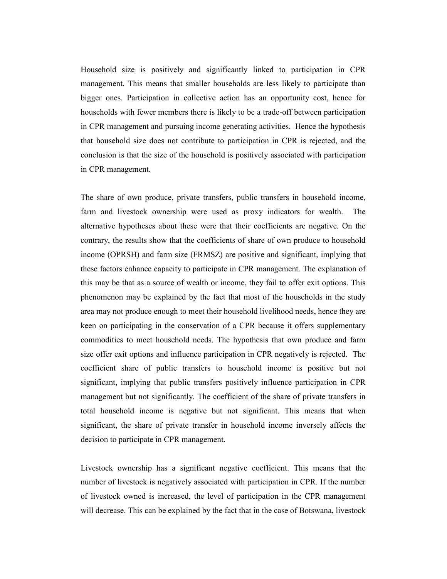Household size is positively and significantly linked to participation in CPR management. This means that smaller households are less likely to participate than bigger ones. Participation in collective action has an opportunity cost, hence for households with fewer members there is likely to be a trade-off between participation in CPR management and pursuing income generating activities. Hence the hypothesis that household size does not contribute to participation in CPR is rejected, and the conclusion is that the size of the household is positively associated with participation in CPR management.

The share of own produce, private transfers, public transfers in household income, farm and livestock ownership were used as proxy indicators for wealth. The alternative hypotheses about these were that their coefficients are negative. On the contrary, the results show that the coefficients of share of own produce to household income (OPRSH) and farm size (FRMSZ) are positive and significant, implying that these factors enhance capacity to participate in CPR management. The explanation of this may be that as a source of wealth or income, they fail to offer exit options. This phenomenon may be explained by the fact that most of the households in the study area may not produce enough to meet their household livelihood needs, hence they are keen on participating in the conservation of a CPR because it offers supplementary commodities to meet household needs. The hypothesis that own produce and farm size offer exit options and influence participation in CPR negatively is rejected. The coefficient share of public transfers to household income is positive but not significant, implying that public transfers positively influence participation in CPR management but not significantly. The coefficient of the share of private transfers in total household income is negative but not significant. This means that when significant, the share of private transfer in household income inversely affects the decision to participate in CPR management.

Livestock ownership has a significant negative coefficient. This means that the number of livestock is negatively associated with participation in CPR. If the number of livestock owned is increased, the level of participation in the CPR management will decrease. This can be explained by the fact that in the case of Botswana, livestock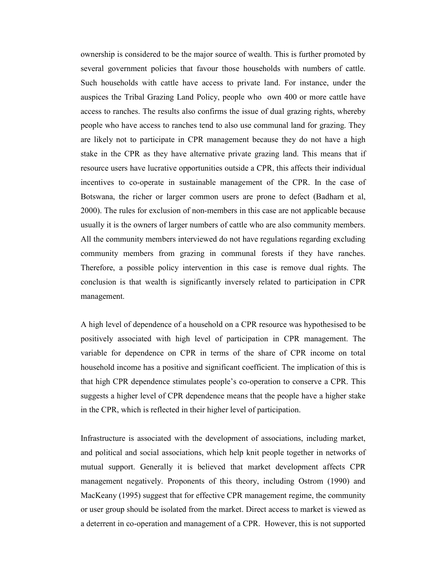ownership is considered to be the major source of wealth. This is further promoted by several government policies that favour those households with numbers of cattle. Such households with cattle have access to private land. For instance, under the auspices the Tribal Grazing Land Policy, people who own 400 or more cattle have access to ranches. The results also confirms the issue of dual grazing rights, whereby people who have access to ranches tend to also use communal land for grazing. They are likely not to participate in CPR management because they do not have a high stake in the CPR as they have alternative private grazing land. This means that if resource users have lucrative opportunities outside a CPR, this affects their individual incentives to co-operate in sustainable management of the CPR. In the case of Botswana, the richer or larger common users are prone to defect (Badharn et al, 2000). The rules for exclusion of non-members in this case are not applicable because usually it is the owners of larger numbers of cattle who are also community members. All the community members interviewed do not have regulations regarding excluding community members from grazing in communal forests if they have ranches. Therefore, a possible policy intervention in this case is remove dual rights. The conclusion is that wealth is significantly inversely related to participation in CPR management.

A high level of dependence of a household on a CPR resource was hypothesised to be positively associated with high level of participation in CPR management. The variable for dependence on CPR in terms of the share of CPR income on total household income has a positive and significant coefficient. The implication of this is that high CPR dependence stimulates people's co-operation to conserve a CPR. This suggests a higher level of CPR dependence means that the people have a higher stake in the CPR, which is reflected in their higher level of participation.

Infrastructure is associated with the development of associations, including market, and political and social associations, which help knit people together in networks of mutual support. Generally it is believed that market development affects CPR management negatively. Proponents of this theory, including Ostrom (1990) and MacKeany (1995) suggest that for effective CPR management regime, the community or user group should be isolated from the market. Direct access to market is viewed as a deterrent in co-operation and management of a CPR. However, this is not supported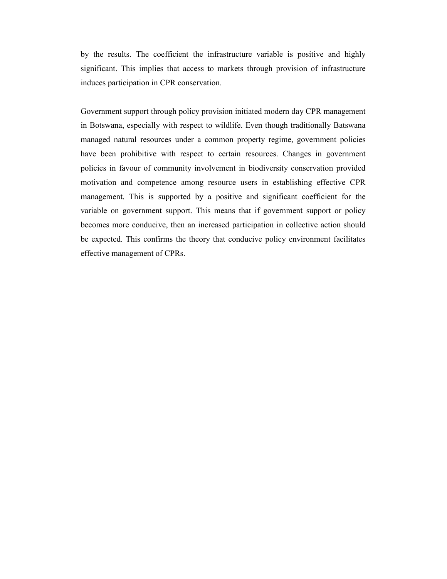by the results. The coefficient the infrastructure variable is positive and highly significant. This implies that access to markets through provision of infrastructure induces participation in CPR conservation.

Government support through policy provision initiated modern day CPR management in Botswana, especially with respect to wildlife. Even though traditionally Batswana managed natural resources under a common property regime, government policies have been prohibitive with respect to certain resources. Changes in government policies in favour of community involvement in biodiversity conservation provided motivation and competence among resource users in establishing effective CPR management. This is supported by a positive and significant coefficient for the variable on government support. This means that if government support or policy becomes more conducive, then an increased participation in collective action should be expected. This confirms the theory that conducive policy environment facilitates effective management of CPRs.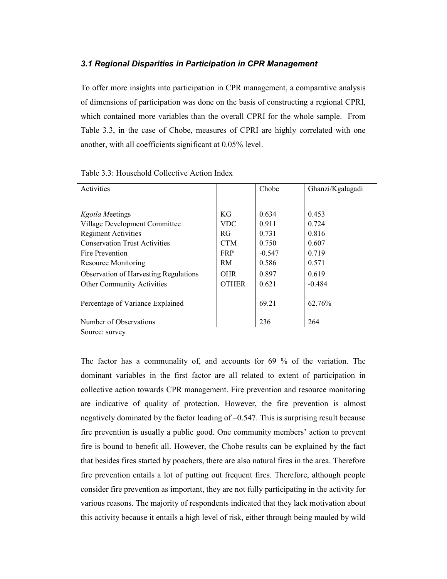#### 3.1 Regional Disparities in Participation in CPR Management

To offer more insights into participation in CPR management, a comparative analysis of dimensions of participation was done on the basis of constructing a regional CPRI, which contained more variables than the overall CPRI for the whole sample. From Table 3.3, in the case of Chobe, measures of CPRI are highly correlated with one another, with all coefficients significant at 0.05% level.

| Activities                                   |              | Chobe    | Ghanzi/Kgalagadi |
|----------------------------------------------|--------------|----------|------------------|
|                                              |              |          |                  |
| <i>Kgotla Meetings</i>                       | KG           | 0.634    | 0.453            |
| Village Development Committee                | <b>VDC</b>   | 0.911    | 0.724            |
| <b>Regiment Activities</b>                   | RG.          | 0.731    | 0.816            |
| <b>Conservation Trust Activities</b>         | <b>CTM</b>   | 0.750    | 0.607            |
| Fire Prevention                              | <b>FRP</b>   | $-0.547$ | 0.719            |
| <b>Resource Monitoring</b>                   | <b>RM</b>    | 0.586    | 0.571            |
| <b>Observation of Harvesting Regulations</b> | <b>OHR</b>   | 0.897    | 0.619            |
| Other Community Activities                   | <b>OTHER</b> | 0.621    | $-0.484$         |
|                                              |              |          |                  |
| Percentage of Variance Explained             |              | 69.21    | 62.76%           |
|                                              |              |          |                  |
| Number of Observations                       |              | 236      | 264              |
|                                              |              |          |                  |

#### Table 3.3: Household Collective Action Index

Source: survey

The factor has a communality of, and accounts for 69 % of the variation. The dominant variables in the first factor are all related to extent of participation in collective action towards CPR management. Fire prevention and resource monitoring are indicative of quality of protection. However, the fire prevention is almost negatively dominated by the factor loading of –0.547. This is surprising result because fire prevention is usually a public good. One community members' action to prevent fire is bound to benefit all. However, the Chobe results can be explained by the fact that besides fires started by poachers, there are also natural fires in the area. Therefore fire prevention entails a lot of putting out frequent fires. Therefore, although people consider fire prevention as important, they are not fully participating in the activity for various reasons. The majority of respondents indicated that they lack motivation about this activity because it entails a high level of risk, either through being mauled by wild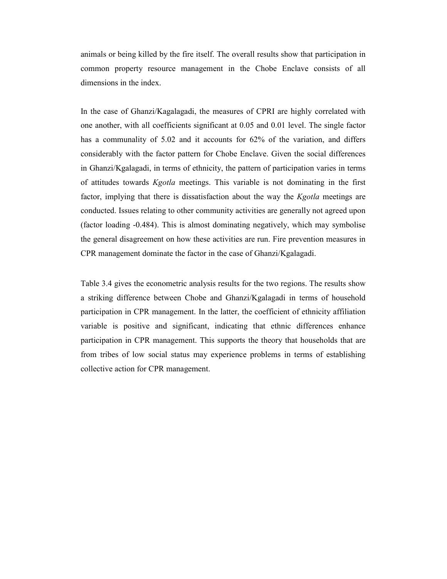animals or being killed by the fire itself. The overall results show that participation in common property resource management in the Chobe Enclave consists of all dimensions in the index.

In the case of Ghanzi/Kagalagadi, the measures of CPRI are highly correlated with one another, with all coefficients significant at 0.05 and 0.01 level. The single factor has a communality of 5.02 and it accounts for 62% of the variation, and differs considerably with the factor pattern for Chobe Enclave. Given the social differences in Ghanzi/Kgalagadi, in terms of ethnicity, the pattern of participation varies in terms of attitudes towards Kgotla meetings. This variable is not dominating in the first factor, implying that there is dissatisfaction about the way the Kgotla meetings are conducted. Issues relating to other community activities are generally not agreed upon (factor loading -0.484). This is almost dominating negatively, which may symbolise the general disagreement on how these activities are run. Fire prevention measures in CPR management dominate the factor in the case of Ghanzi/Kgalagadi.

Table 3.4 gives the econometric analysis results for the two regions. The results show a striking difference between Chobe and Ghanzi/Kgalagadi in terms of household participation in CPR management. In the latter, the coefficient of ethnicity affiliation variable is positive and significant, indicating that ethnic differences enhance participation in CPR management. This supports the theory that households that are from tribes of low social status may experience problems in terms of establishing collective action for CPR management.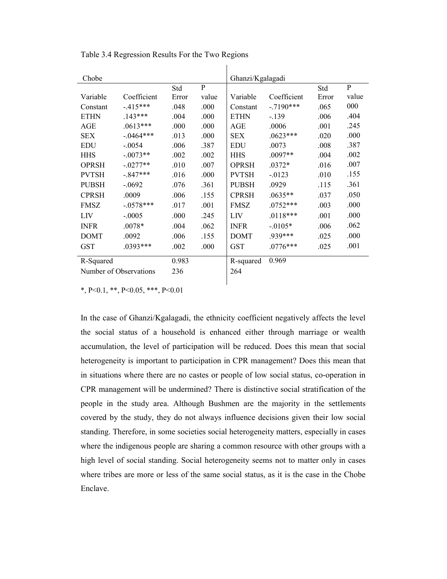| Chobe                  |              |       | Ghanzi/Kgalagadi |              |             |       |              |
|------------------------|--------------|-------|------------------|--------------|-------------|-------|--------------|
|                        |              | Std   | $\mathbf{P}$     |              |             | Std   | $\mathbf{P}$ |
| Variable               | Coefficient  | Error | value            | Variable     | Coefficient | Error | value        |
| Constant               | $-415***$    | .048  | .000             | Constant     | $-.7190***$ | .065  | 000          |
| <b>ETHN</b>            | $.143***$    | .004  | .000             | <b>ETHN</b>  | $-139$      | .006  | .404         |
| <b>AGE</b>             | $.0613***$   | .000  | .000             | AGE          | .0006       | .001  | .245         |
| <b>SEX</b>             | $-0.0464***$ | .013  | .000             | <b>SEX</b>   | $.0623***$  | .020  | .000         |
| <b>EDU</b>             | $-.0054$     | .006  | .387             | <b>EDU</b>   | .0073       | .008  | .387         |
| <b>HHS</b>             | $-.0073**$   | .002  | .002             | <b>HHS</b>   | $.0097**$   | .004  | .002         |
| <b>OPRSH</b>           | $-.0277**$   | .010  | .007             | <b>OPRSH</b> | $.0372*$    | .016  | .007         |
| <b>PVTSH</b>           | $-.847***$   | .016  | .000             | <b>PVTSH</b> | $-0.0123$   | .010  | .155         |
| <b>PUBSH</b>           | $-0692$      | .076  | .361             | <b>PUBSH</b> | .0929       | .115  | .361         |
| <b>CPRSH</b>           | .0009        | .006  | .155             | <b>CPRSH</b> | $.0635**$   | .037  | .050         |
| <b>FMSZ</b>            | $-.0578***$  | .017  | .001             | <b>FMSZ</b>  | $.0752***$  | .003  | .000         |
| LIV                    | $-.0005$     | .000  | .245             | <b>LIV</b>   | $.0118***$  | .001  | .000         |
| <b>INFR</b>            | $.0078*$     | .004  | .062             | <b>INFR</b>  | $-.0105*$   | .006  | .062         |
| <b>DOMT</b>            | .0092        | .006  | .155             | <b>DOMT</b>  | .939***     | .025  | .000         |
| <b>GST</b>             | .0393***     | .002  | .000             | <b>GST</b>   | $.0776***$  | .025  | .001         |
| R-Squared              |              | 0.983 |                  | R-squared    | 0.969       |       |              |
| Number of Observations |              | 236   |                  | 264          |             |       |              |
|                        |              |       |                  |              |             |       |              |

Table 3.4 Regression Results For the Two Regions

\*,  $P<0.1$ , \*\*,  $P<0.05$ , \*\*\*,  $P<0.01$ 

In the case of Ghanzi/Kgalagadi, the ethnicity coefficient negatively affects the level the social status of a household is enhanced either through marriage or wealth accumulation, the level of participation will be reduced. Does this mean that social heterogeneity is important to participation in CPR management? Does this mean that in situations where there are no castes or people of low social status, co-operation in CPR management will be undermined? There is distinctive social stratification of the people in the study area. Although Bushmen are the majority in the settlements covered by the study, they do not always influence decisions given their low social standing. Therefore, in some societies social heterogeneity matters, especially in cases where the indigenous people are sharing a common resource with other groups with a high level of social standing. Social heterogeneity seems not to matter only in cases where tribes are more or less of the same social status, as it is the case in the Chobe Enclave.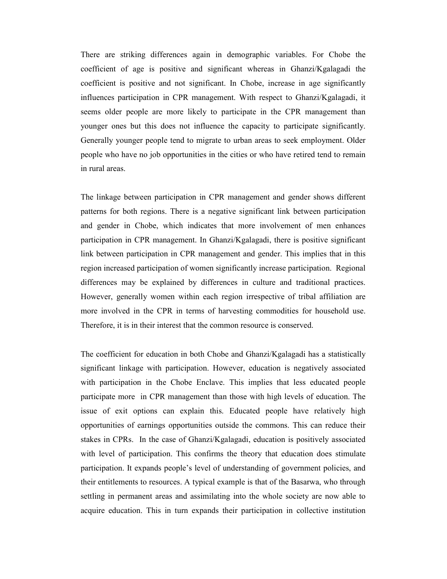There are striking differences again in demographic variables. For Chobe the coefficient of age is positive and significant whereas in Ghanzi/Kgalagadi the coefficient is positive and not significant. In Chobe, increase in age significantly influences participation in CPR management. With respect to Ghanzi/Kgalagadi, it seems older people are more likely to participate in the CPR management than younger ones but this does not influence the capacity to participate significantly. Generally younger people tend to migrate to urban areas to seek employment. Older people who have no job opportunities in the cities or who have retired tend to remain in rural areas.

The linkage between participation in CPR management and gender shows different patterns for both regions. There is a negative significant link between participation and gender in Chobe, which indicates that more involvement of men enhances participation in CPR management. In Ghanzi/Kgalagadi, there is positive significant link between participation in CPR management and gender. This implies that in this region increased participation of women significantly increase participation. Regional differences may be explained by differences in culture and traditional practices. However, generally women within each region irrespective of tribal affiliation are more involved in the CPR in terms of harvesting commodities for household use. Therefore, it is in their interest that the common resource is conserved.

The coefficient for education in both Chobe and Ghanzi/Kgalagadi has a statistically significant linkage with participation. However, education is negatively associated with participation in the Chobe Enclave. This implies that less educated people participate more in CPR management than those with high levels of education. The issue of exit options can explain this. Educated people have relatively high opportunities of earnings opportunities outside the commons. This can reduce their stakes in CPRs. In the case of Ghanzi/Kgalagadi, education is positively associated with level of participation. This confirms the theory that education does stimulate participation. It expands people's level of understanding of government policies, and their entitlements to resources. A typical example is that of the Basarwa, who through settling in permanent areas and assimilating into the whole society are now able to acquire education. This in turn expands their participation in collective institution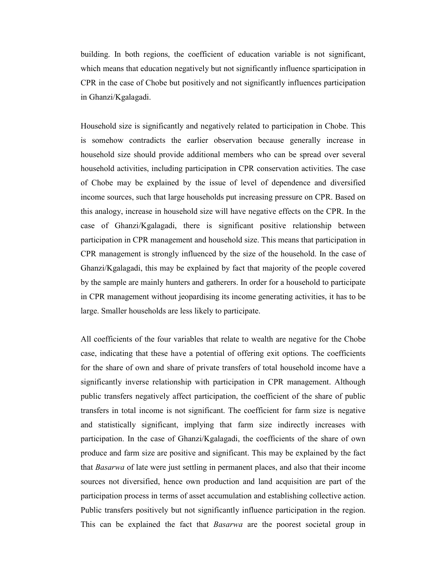building. In both regions, the coefficient of education variable is not significant, which means that education negatively but not significantly influence sparticipation in CPR in the case of Chobe but positively and not significantly influences participation in Ghanzi/Kgalagadi.

Household size is significantly and negatively related to participation in Chobe. This is somehow contradicts the earlier observation because generally increase in household size should provide additional members who can be spread over several household activities, including participation in CPR conservation activities. The case of Chobe may be explained by the issue of level of dependence and diversified income sources, such that large households put increasing pressure on CPR. Based on this analogy, increase in household size will have negative effects on the CPR. In the case of Ghanzi/Kgalagadi, there is significant positive relationship between participation in CPR management and household size. This means that participation in CPR management is strongly influenced by the size of the household. In the case of Ghanzi/Kgalagadi, this may be explained by fact that majority of the people covered by the sample are mainly hunters and gatherers. In order for a household to participate in CPR management without jeopardising its income generating activities, it has to be large. Smaller households are less likely to participate.

All coefficients of the four variables that relate to wealth are negative for the Chobe case, indicating that these have a potential of offering exit options. The coefficients for the share of own and share of private transfers of total household income have a significantly inverse relationship with participation in CPR management. Although public transfers negatively affect participation, the coefficient of the share of public transfers in total income is not significant. The coefficient for farm size is negative and statistically significant, implying that farm size indirectly increases with participation. In the case of Ghanzi/Kgalagadi, the coefficients of the share of own produce and farm size are positive and significant. This may be explained by the fact that Basarwa of late were just settling in permanent places, and also that their income sources not diversified, hence own production and land acquisition are part of the participation process in terms of asset accumulation and establishing collective action. Public transfers positively but not significantly influence participation in the region. This can be explained the fact that Basarwa are the poorest societal group in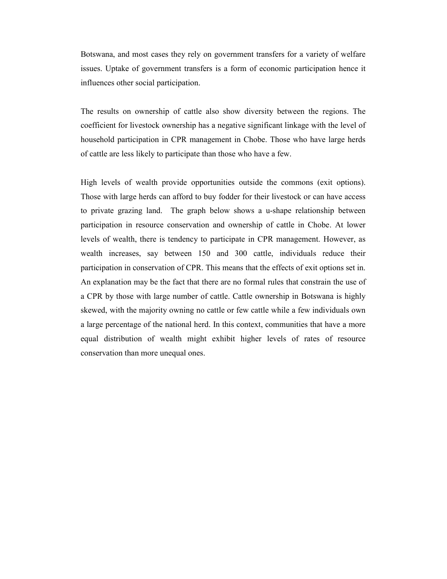Botswana, and most cases they rely on government transfers for a variety of welfare issues. Uptake of government transfers is a form of economic participation hence it influences other social participation.

The results on ownership of cattle also show diversity between the regions. The coefficient for livestock ownership has a negative significant linkage with the level of household participation in CPR management in Chobe. Those who have large herds of cattle are less likely to participate than those who have a few.

High levels of wealth provide opportunities outside the commons (exit options). Those with large herds can afford to buy fodder for their livestock or can have access to private grazing land. The graph below shows a u-shape relationship between participation in resource conservation and ownership of cattle in Chobe. At lower levels of wealth, there is tendency to participate in CPR management. However, as wealth increases, say between 150 and 300 cattle, individuals reduce their participation in conservation of CPR. This means that the effects of exit options set in. An explanation may be the fact that there are no formal rules that constrain the use of a CPR by those with large number of cattle. Cattle ownership in Botswana is highly skewed, with the majority owning no cattle or few cattle while a few individuals own a large percentage of the national herd. In this context, communities that have a more equal distribution of wealth might exhibit higher levels of rates of resource conservation than more unequal ones.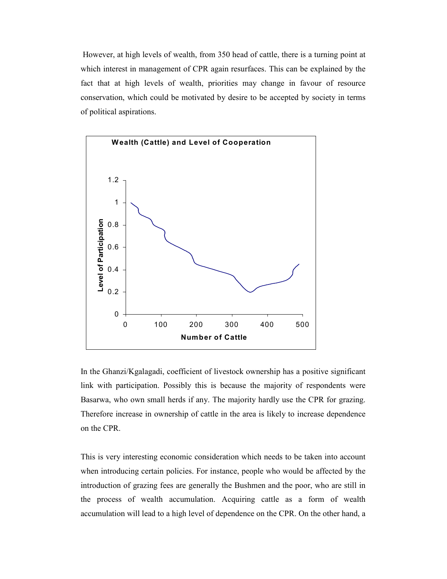However, at high levels of wealth, from 350 head of cattle, there is a turning point at which interest in management of CPR again resurfaces. This can be explained by the fact that at high levels of wealth, priorities may change in favour of resource conservation, which could be motivated by desire to be accepted by society in terms of political aspirations.



In the Ghanzi/Kgalagadi, coefficient of livestock ownership has a positive significant link with participation. Possibly this is because the majority of respondents were Basarwa, who own small herds if any. The majority hardly use the CPR for grazing. Therefore increase in ownership of cattle in the area is likely to increase dependence on the CPR.

This is very interesting economic consideration which needs to be taken into account when introducing certain policies. For instance, people who would be affected by the introduction of grazing fees are generally the Bushmen and the poor, who are still in the process of wealth accumulation. Acquiring cattle as a form of wealth accumulation will lead to a high level of dependence on the CPR. On the other hand, a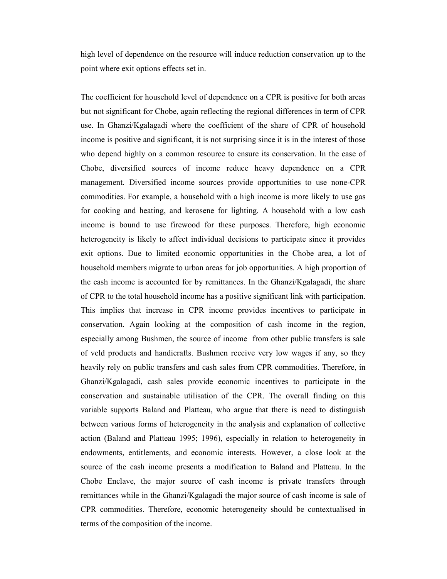high level of dependence on the resource will induce reduction conservation up to the point where exit options effects set in.

The coefficient for household level of dependence on a CPR is positive for both areas but not significant for Chobe, again reflecting the regional differences in term of CPR use. In Ghanzi/Kgalagadi where the coefficient of the share of CPR of household income is positive and significant, it is not surprising since it is in the interest of those who depend highly on a common resource to ensure its conservation. In the case of Chobe, diversified sources of income reduce heavy dependence on a CPR management. Diversified income sources provide opportunities to use none-CPR commodities. For example, a household with a high income is more likely to use gas for cooking and heating, and kerosene for lighting. A household with a low cash income is bound to use firewood for these purposes. Therefore, high economic heterogeneity is likely to affect individual decisions to participate since it provides exit options. Due to limited economic opportunities in the Chobe area, a lot of household members migrate to urban areas for job opportunities. A high proportion of the cash income is accounted for by remittances. In the Ghanzi/Kgalagadi, the share of CPR to the total household income has a positive significant link with participation. This implies that increase in CPR income provides incentives to participate in conservation. Again looking at the composition of cash income in the region, especially among Bushmen, the source of income from other public transfers is sale of veld products and handicrafts. Bushmen receive very low wages if any, so they heavily rely on public transfers and cash sales from CPR commodities. Therefore, in Ghanzi/Kgalagadi, cash sales provide economic incentives to participate in the conservation and sustainable utilisation of the CPR. The overall finding on this variable supports Baland and Platteau, who argue that there is need to distinguish between various forms of heterogeneity in the analysis and explanation of collective action (Baland and Platteau 1995; 1996), especially in relation to heterogeneity in endowments, entitlements, and economic interests. However, a close look at the source of the cash income presents a modification to Baland and Platteau. In the Chobe Enclave, the major source of cash income is private transfers through remittances while in the Ghanzi/Kgalagadi the major source of cash income is sale of CPR commodities. Therefore, economic heterogeneity should be contextualised in terms of the composition of the income.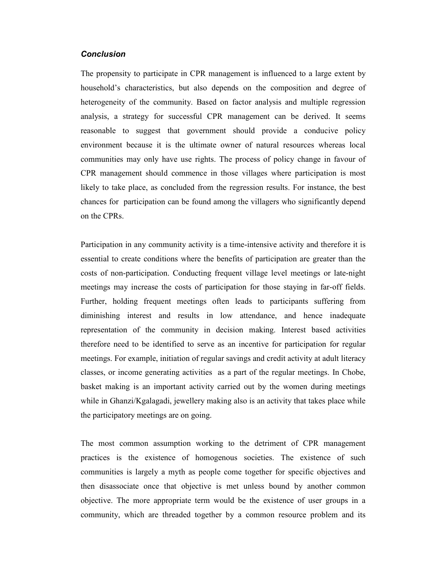#### **Conclusion**

The propensity to participate in CPR management is influenced to a large extent by household's characteristics, but also depends on the composition and degree of heterogeneity of the community. Based on factor analysis and multiple regression analysis, a strategy for successful CPR management can be derived. It seems reasonable to suggest that government should provide a conducive policy environment because it is the ultimate owner of natural resources whereas local communities may only have use rights. The process of policy change in favour of CPR management should commence in those villages where participation is most likely to take place, as concluded from the regression results. For instance, the best chances for participation can be found among the villagers who significantly depend on the CPRs.

Participation in any community activity is a time-intensive activity and therefore it is essential to create conditions where the benefits of participation are greater than the costs of non-participation. Conducting frequent village level meetings or late-night meetings may increase the costs of participation for those staying in far-off fields. Further, holding frequent meetings often leads to participants suffering from diminishing interest and results in low attendance, and hence inadequate representation of the community in decision making. Interest based activities therefore need to be identified to serve as an incentive for participation for regular meetings. For example, initiation of regular savings and credit activity at adult literacy classes, or income generating activities as a part of the regular meetings. In Chobe, basket making is an important activity carried out by the women during meetings while in Ghanzi/Kgalagadi, jewellery making also is an activity that takes place while the participatory meetings are on going.

The most common assumption working to the detriment of CPR management practices is the existence of homogenous societies. The existence of such communities is largely a myth as people come together for specific objectives and then disassociate once that objective is met unless bound by another common objective. The more appropriate term would be the existence of user groups in a community, which are threaded together by a common resource problem and its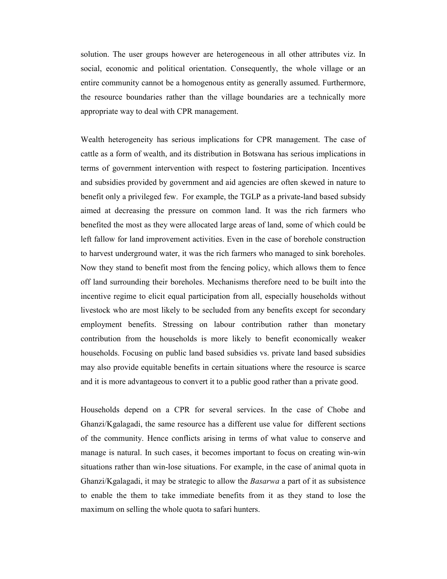solution. The user groups however are heterogeneous in all other attributes viz. In social, economic and political orientation. Consequently, the whole village or an entire community cannot be a homogenous entity as generally assumed. Furthermore, the resource boundaries rather than the village boundaries are a technically more appropriate way to deal with CPR management.

Wealth heterogeneity has serious implications for CPR management. The case of cattle as a form of wealth, and its distribution in Botswana has serious implications in terms of government intervention with respect to fostering participation. Incentives and subsidies provided by government and aid agencies are often skewed in nature to benefit only a privileged few. For example, the TGLP as a private-land based subsidy aimed at decreasing the pressure on common land. It was the rich farmers who benefited the most as they were allocated large areas of land, some of which could be left fallow for land improvement activities. Even in the case of borehole construction to harvest underground water, it was the rich farmers who managed to sink boreholes. Now they stand to benefit most from the fencing policy, which allows them to fence off land surrounding their boreholes. Mechanisms therefore need to be built into the incentive regime to elicit equal participation from all, especially households without livestock who are most likely to be secluded from any benefits except for secondary employment benefits. Stressing on labour contribution rather than monetary contribution from the households is more likely to benefit economically weaker households. Focusing on public land based subsidies vs. private land based subsidies may also provide equitable benefits in certain situations where the resource is scarce and it is more advantageous to convert it to a public good rather than a private good.

Households depend on a CPR for several services. In the case of Chobe and Ghanzi/Kgalagadi, the same resource has a different use value for different sections of the community. Hence conflicts arising in terms of what value to conserve and manage is natural. In such cases, it becomes important to focus on creating win-win situations rather than win-lose situations. For example, in the case of animal quota in Ghanzi/Kgalagadi, it may be strategic to allow the *Basarwa* a part of it as subsistence to enable the them to take immediate benefits from it as they stand to lose the maximum on selling the whole quota to safari hunters.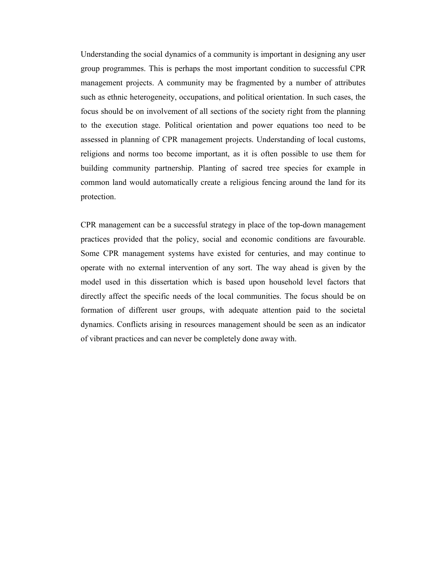Understanding the social dynamics of a community is important in designing any user group programmes. This is perhaps the most important condition to successful CPR management projects. A community may be fragmented by a number of attributes such as ethnic heterogeneity, occupations, and political orientation. In such cases, the focus should be on involvement of all sections of the society right from the planning to the execution stage. Political orientation and power equations too need to be assessed in planning of CPR management projects. Understanding of local customs, religions and norms too become important, as it is often possible to use them for building community partnership. Planting of sacred tree species for example in common land would automatically create a religious fencing around the land for its protection.

CPR management can be a successful strategy in place of the top-down management practices provided that the policy, social and economic conditions are favourable. Some CPR management systems have existed for centuries, and may continue to operate with no external intervention of any sort. The way ahead is given by the model used in this dissertation which is based upon household level factors that directly affect the specific needs of the local communities. The focus should be on formation of different user groups, with adequate attention paid to the societal dynamics. Conflicts arising in resources management should be seen as an indicator of vibrant practices and can never be completely done away with.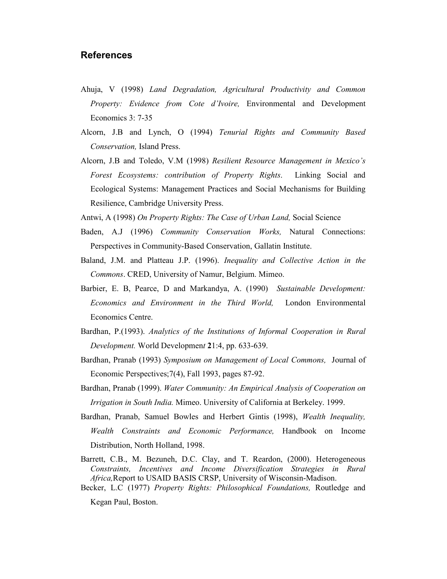## References

- Ahuja, V (1998) Land Degradation, Agricultural Productivity and Common Property: Evidence from Cote d'Ivoire, Environmental and Development Economics 3: 7-35
- Alcorn, J.B and Lynch, O (1994) Tenurial Rights and Community Based Conservation, Island Press.
- Alcorn, J.B and Toledo, V.M (1998) Resilient Resource Management in Mexico's Forest Ecosystems: contribution of Property Rights. Linking Social and Ecological Systems: Management Practices and Social Mechanisms for Building Resilience, Cambridge University Press.
- Antwi, A (1998) On Property Rights: The Case of Urban Land, Social Science
- Baden, A.J (1996) Community Conservation Works, Natural Connections: Perspectives in Community-Based Conservation, Gallatin Institute.
- Baland, J.M. and Platteau J.P. (1996). Inequality and Collective Action in the Commons. CRED, University of Namur, Belgium. Mimeo.
- Barbier, E. B, Pearce, D and Markandya, A. (1990) Sustainable Development: Economics and Environment in the Third World, London Environmental Economics Centre.
- Bardhan, P.(1993). Analytics of the Institutions of Informal Cooperation in Rural Development. World Development 21:4, pp. 633-639.
- Bardhan, Pranab (1993) Symposium on Management of Local Commons, Journal of Economic Perspectives;7(4), Fall 1993, pages 87-92.
- Bardhan, Pranab (1999). Water Community: An Empirical Analysis of Cooperation on Irrigation in South India. Mimeo. University of California at Berkeley. 1999.
- Bardhan, Pranab, Samuel Bowles and Herbert Gintis (1998), Wealth Inequality, Wealth Constraints and Economic Performance, Handbook on Income Distribution, North Holland, 1998.
- Barrett, C.B., M. Bezuneh, D.C. Clay, and T. Reardon, (2000). Heterogeneous Constraints, Incentives and Income Diversification Strategies in Rural Africa,Report to USAID BASIS CRSP, University of Wisconsin-Madison.
- Becker, L.C (1977) Property Rights: Philosophical Foundations, Routledge and Kegan Paul, Boston.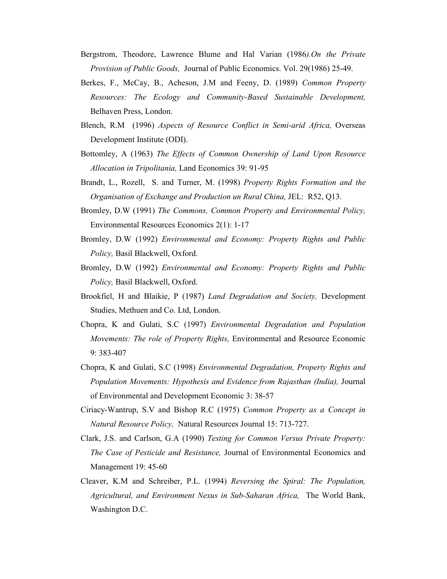- Bergstrom, Theodore, Lawrence Blume and Hal Varian (1986).On the Private Provision of Public Goods, Journal of Public Economics. Vol. 29(1986) 25-49.
- Berkes, F., McCay, B., Acheson, J.M and Feeny, D. (1989) Common Property Resources: The Ecology and Community-Based Sustainable Development, Belhaven Press, London.
- Blench, R.M (1996) Aspects of Resource Conflict in Semi-arid Africa, Overseas Development Institute (ODI).
- Bottomley, A (1963) The Effects of Common Ownership of Land Upon Resource Allocation in Tripolitania, Land Economics 39: 91-95
- Brandt, L., Rozell, S. and Turner, M. (1998) Property Rights Formation and the Organisation of Exchange and Production un Rural China, JEL: R52, Q13.
- Bromley, D.W (1991) The Commons, Common Property and Environmental Policy, Environmental Resources Economics 2(1): 1-17
- Bromley, D.W (1992) Environmental and Economy: Property Rights and Public Policy, Basil Blackwell, Oxford.
- Bromley, D.W (1992) Environmental and Economy: Property Rights and Public Policy, Basil Blackwell, Oxford.
- Brookfiel, H and Blaikie, P (1987) Land Degradation and Society, Development Studies, Methuen and Co. Ltd, London.
- Chopra, K and Gulati, S.C (1997) Environmental Degradation and Population Movements: The role of Property Rights, Environmental and Resource Economic 9: 383-407
- Chopra, K and Gulati, S.C (1998) Environmental Degradation, Property Rights and Population Movements: Hypothesis and Evidence from Rajasthan (India), Journal of Environmental and Development Economic 3: 38-57
- Ciriacy-Wantrup, S.V and Bishop R.C (1975) Common Property as a Concept in Natural Resource Policy, Natural Resources Journal 15: 713-727.
- Clark, J.S. and Carlson, G.A (1990) Testing for Common Versus Private Property: The Case of Pesticide and Resistance, Journal of Environmental Economics and Management 19: 45-60
- Cleaver, K.M and Schreiber, P.L. (1994) Reversing the Spiral: The Population, Agricultural, and Environment Nexus in Sub-Saharan Africa, The World Bank, Washington D.C.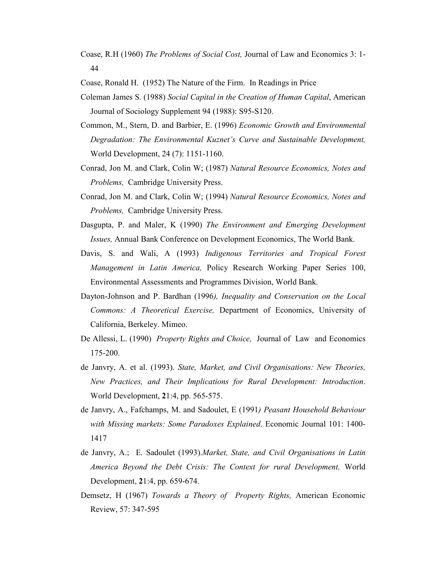- Coase, R.H (1960) The Problems of Social Cost, Journal of Law and Economics 3: 1- 44
- Coase, Ronald H. (1952) The Nature of the Firm. In Readings in Price
- Coleman James S. (1988) Social Capital in the Creation of Human Capital, American Journal of Sociology Supplement 94 (1988): S95-S120.
- Common, M., Stern, D. and Barbier, E. (1996) Economic Growth and Environmental Degradation: The Environmental Kuznet's Curve and Sustainable Development, World Development, 24 (7): 1151-1160.
- Conrad, Jon M. and Clark, Colin W; (1987) Natural Resource Economics, Notes and Problems, Cambridge University Press.
- Conrad, Jon M. and Clark, Colin W; (1994) Natural Resource Economics, Notes and Problems, Cambridge University Press.
- Dasgupta, P. and Maler, K (1990) The Environment and Emerging Development Issues, Annual Bank Conference on Development Economics, The World Bank.
- Davis, S. and Wali, A (1993) Indigenous Territories and Tropical Forest Management in Latin America, Policy Research Working Paper Series 100, Environmental Assessments and Programmes Division, World Bank.
- Dayton-Johnson and P. Bardhan (1996), Inequality and Conservation on the Local Commons: A Theoretical Exercise, Department of Economics, University of California, Berkeley. Mimeo.
- De Allessi, L. (1990) *Property Rights and Choice*, Journal of Law and Economics 175-200.
- de Janvry, A. et al. (1993). State, Market, and Civil Organisations: New Theories, New Practices, and Their Implications for Rural Development: Introduction. World Development, 21:4, pp. 565-575.
- de Janvry, A., Fafchamps, M. and Sadoulet, E (1991) Peasant Household Behaviour with Missing markets: Some Paradoxes Explained. Economic Journal 101: 1400- 1417
- de Janvry, A.; E. Sadoulet (1993).Market, State, and Civil Organisations in Latin America Beyond the Debt Crisis: The Context for rural Development, World Development, 21:4, pp. 659-674.
- Demsetz, H (1967) Towards a Theory of Property Rights, American Economic Review, 57: 347-595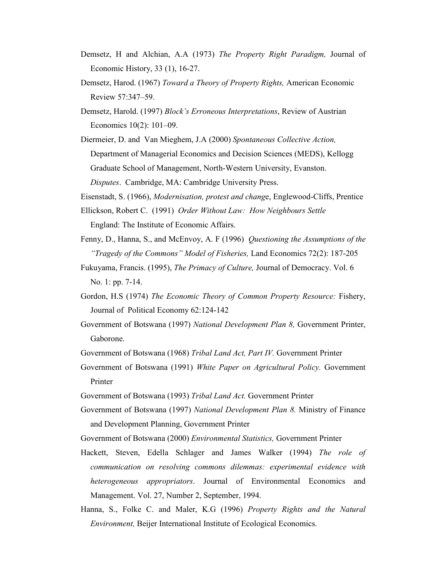- Demsetz, H and Alchian, A.A (1973) The Property Right Paradigm, Journal of Economic History, 33 (1), 16-27.
- Demsetz, Harod. (1967) Toward a Theory of Property Rights, American Economic Review 57:347–59.
- Demsetz, Harold. (1997) Block's Erroneous Interpretations, Review of Austrian Economics 10(2): 101–09.
- Diermeier, D. and Van Mieghem, J.A (2000) Spontaneous Collective Action, Department of Managerial Economics and Decision Sciences (MEDS), Kellogg Graduate School of Management, North-Western University, Evanston. Disputes. Cambridge, MA: Cambridge University Press.

Eisenstadt, S. (1966), Modernisation, protest and change, Englewood-Cliffs, Prentice

- Ellickson, Robert C. (1991) Order Without Law: How Neighbours Settle England: The Institute of Economic Affairs.
- Fenny, D., Hanna, S., and McEnvoy, A. F (1996) Questioning the Assumptions of the "Tragedy of the Commons" Model of Fisheries, Land Economics 72(2): 187-205
- Fukuyama, Francis. (1995), The Primacy of Culture, Journal of Democracy. Vol. 6 No. 1: pp. 7-14.
- Gordon, H.S (1974) The Economic Theory of Common Property Resource: Fishery, Journal of Political Economy 62:124-142
- Government of Botswana (1997) National Development Plan 8, Government Printer, Gaborone.
- Government of Botswana (1968) Tribal Land Act, Part IV. Government Printer
- Government of Botswana (1991) White Paper on Agricultural Policy. Government Printer
- Government of Botswana (1993) Tribal Land Act. Government Printer
- Government of Botswana (1997) National Development Plan 8. Ministry of Finance and Development Planning, Government Printer
- Government of Botswana (2000) Environmental Statistics, Government Printer
- Hackett, Steven, Edella Schlager and James Walker (1994) The role of communication on resolving commons dilemmas: experimental evidence with heterogeneous appropriators. Journal of Environmental Economics and Management. Vol. 27, Number 2, September, 1994.
- Hanna, S., Folke C. and Maler, K.G (1996) Property Rights and the Natural Environment, Beijer International Institute of Ecological Economics.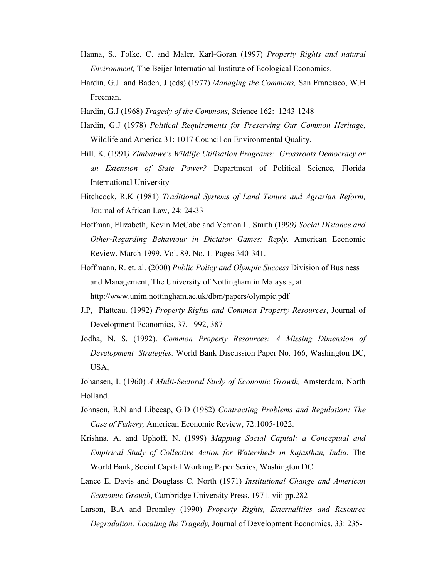- Hanna, S., Folke, C. and Maler, Karl-Goran (1997) Property Rights and natural Environment, The Beijer International Institute of Ecological Economics.
- Hardin, G.J and Baden, J (eds) (1977) Managing the Commons, San Francisco, W.H Freeman.
- Hardin, G.J (1968) Tragedy of the Commons, Science 162: 1243-1248
- Hardin, G.J (1978) Political Requirements for Preserving Our Common Heritage, Wildlife and America 31: 1017 Council on Environmental Quality.
- Hill, K. (1991) Zimbabwe's Wildlife Utilisation Programs: Grassroots Democracy or an Extension of State Power? Department of Political Science, Florida International University
- Hitchcock, R.K (1981) Traditional Systems of Land Tenure and Agrarian Reform, Journal of African Law, 24: 24-33
- Hoffman, Elizabeth, Kevin McCabe and Vernon L. Smith (1999) Social Distance and Other-Regarding Behaviour in Dictator Games: Reply, American Economic Review. March 1999. Vol. 89. No. 1. Pages 340-341.
- Hoffmann, R. et. al. (2000) Public Policy and Olympic Success Division of Business and Management, The University of Nottingham in Malaysia, at http://www.unim.nottingham.ac.uk/dbm/papers/olympic.pdf
- J.P, Platteau. (1992) Property Rights and Common Property Resources, Journal of Development Economics, 37, 1992, 387-
- Jodha, N. S. (1992). Common Property Resources: A Missing Dimension of Development Strategies. World Bank Discussion Paper No. 166, Washington DC, USA,
- Johansen, L (1960) A Multi-Sectoral Study of Economic Growth, Amsterdam, North Holland.
- Johnson, R.N and Libecap, G.D (1982) Contracting Problems and Regulation: The Case of Fishery, American Economic Review, 72:1005-1022.
- Krishna, A. and Uphoff, N. (1999) Mapping Social Capital: a Conceptual and Empirical Study of Collective Action for Watersheds in Rajasthan, India. The World Bank, Social Capital Working Paper Series, Washington DC.
- Lance E. Davis and Douglass C. North (1971) Institutional Change and American Economic Growth, Cambridge University Press, 1971. viii pp.282
- Larson, B.A and Bromley (1990) Property Rights, Externalities and Resource Degradation: Locating the Tragedy, Journal of Development Economics, 33: 235-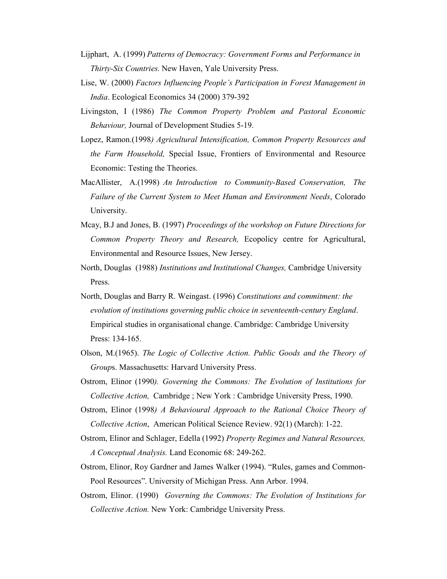- Lijphart, A. (1999) Patterns of Democracy: Government Forms and Performance in Thirty-Six Countries. New Haven, Yale University Press.
- Lise, W. (2000) Factors Influencing People's Participation in Forest Management in India. Ecological Economics 34 (2000) 379-392
- Livingston, I (1986) The Common Property Problem and Pastoral Economic Behaviour, Journal of Development Studies 5-19.
- Lopez, Ramon.(1998) Agricultural Intensification, Common Property Resources and the Farm Household, Special Issue, Frontiers of Environmental and Resource Economic: Testing the Theories.
- MacAllister, A.(1998) An Introduction to Community-Based Conservation, The Failure of the Current System to Meet Human and Environment Needs, Colorado University.
- Mcay, B.J and Jones, B. (1997) Proceedings of the workshop on Future Directions for Common Property Theory and Research, Ecopolicy centre for Agricultural, Environmental and Resource Issues, New Jersey.
- North, Douglas (1988) Institutions and Institutional Changes, Cambridge University Press.
- North, Douglas and Barry R. Weingast. (1996) Constitutions and commitment: the evolution of institutions governing public choice in seventeenth-century England. Empirical studies in organisational change. Cambridge: Cambridge University Press: 134-165.
- Olson, M.(1965). The Logic of Collective Action. Public Goods and the Theory of Groups. Massachusetts: Harvard University Press.
- Ostrom, Elinor (1990). Governing the Commons: The Evolution of Institutions for Collective Action, Cambridge ; New York : Cambridge University Press, 1990.
- Ostrom, Elinor (1998) A Behavioural Approach to the Rational Choice Theory of Collective Action, American Political Science Review. 92(1) (March): 1-22.
- Ostrom, Elinor and Schlager, Edella (1992) Property Regimes and Natural Resources, A Conceptual Analysis. Land Economic 68: 249-262.
- Ostrom, Elinor, Roy Gardner and James Walker (1994). "Rules, games and Common-Pool Resources". University of Michigan Press. Ann Arbor. 1994.
- Ostrom, Elinor. (1990) Governing the Commons: The Evolution of Institutions for Collective Action. New York: Cambridge University Press.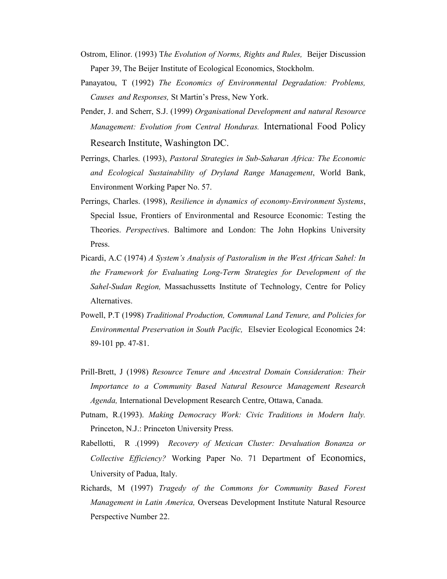- Ostrom, Elinor. (1993) The Evolution of Norms, Rights and Rules, Beijer Discussion Paper 39, The Beijer Institute of Ecological Economics, Stockholm.
- Panayatou, T (1992) The Economics of Environmental Degradation: Problems, Causes and Responses, St Martin's Press, New York.
- Pender, J. and Scherr, S.J. (1999) Organisational Development and natural Resource Management: Evolution from Central Honduras. International Food Policy Research Institute, Washington DC.
- Perrings, Charles. (1993), Pastoral Strategies in Sub-Saharan Africa: The Economic and Ecological Sustainability of Dryland Range Management, World Bank, Environment Working Paper No. 57.
- Perrings, Charles. (1998), Resilience in dynamics of economy-Environment Systems, Special Issue, Frontiers of Environmental and Resource Economic: Testing the Theories. Perspectives. Baltimore and London: The John Hopkins University Press.
- Picardi, A.C (1974) A System's Analysis of Pastoralism in the West African Sahel: In the Framework for Evaluating Long-Term Strategies for Development of the Sahel-Sudan Region, Massachussetts Institute of Technology, Centre for Policy Alternatives.
- Powell, P.T (1998) Traditional Production, Communal Land Tenure, and Policies for Environmental Preservation in South Pacific, Elsevier Ecological Economics 24: 89-101 pp. 47-81.
- Prill-Brett, J (1998) Resource Tenure and Ancestral Domain Consideration: Their Importance to a Community Based Natural Resource Management Research Agenda, International Development Research Centre, Ottawa, Canada.
- Putnam, R.(1993). Making Democracy Work: Civic Traditions in Modern Italy. Princeton, N.J.: Princeton University Press.
- Rabellotti, R .(1999) Recovery of Mexican Cluster: Devaluation Bonanza or Collective Efficiency? Working Paper No. 71 Department of Economics, University of Padua, Italy.
- Richards, M (1997) Tragedy of the Commons for Community Based Forest Management in Latin America, Overseas Development Institute Natural Resource Perspective Number 22.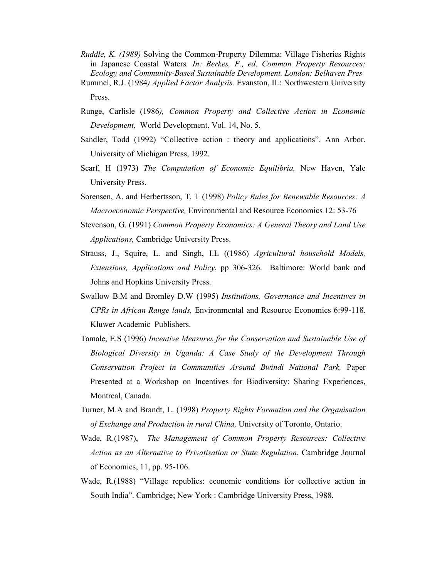- Ruddle, K. (1989) Solving the Common-Property Dilemma: Village Fisheries Rights in Japanese Coastal Waters. In: Berkes, F., ed. Common Property Resources: Ecology and Community-Based Sustainable Development. London: Belhaven Pres
- Rummel, R.J. (1984) Applied Factor Analysis. Evanston, IL: Northwestern University Press.
- Runge, Carlisle (1986), Common Property and Collective Action in Economic Development, World Development. Vol. 14, No. 5.
- Sandler, Todd (1992) "Collective action : theory and applications". Ann Arbor. University of Michigan Press, 1992.
- Scarf, H (1973) The Computation of Economic Equilibria, New Haven, Yale University Press.
- Sorensen, A. and Herbertsson, T. T (1998) Policy Rules for Renewable Resources: A Macroeconomic Perspective, Environmental and Resource Economics 12: 53-76
- Stevenson, G. (1991) Common Property Economics: A General Theory and Land Use Applications, Cambridge University Press.
- Strauss, J., Squire, L. and Singh, I.L ((1986) Agricultural household Models, Extensions, Applications and Policy, pp 306-326. Baltimore: World bank and Johns and Hopkins University Press.
- Swallow B.M and Bromley D.W (1995) Institutions, Governance and Incentives in CPRs in African Range lands, Environmental and Resource Economics 6:99-118. Kluwer Academic Publishers.
- Tamale, E.S (1996) Incentive Measures for the Conservation and Sustainable Use of Biological Diversity in Uganda: A Case Study of the Development Through Conservation Project in Communities Around Bwindi National Park, Paper Presented at a Workshop on Incentives for Biodiversity: Sharing Experiences, Montreal, Canada.
- Turner, M.A and Brandt, L. (1998) Property Rights Formation and the Organisation of Exchange and Production in rural China, University of Toronto, Ontario.
- Wade, R.(1987), The Management of Common Property Resources: Collective Action as an Alternative to Privatisation or State Regulation. Cambridge Journal of Economics, 11, pp. 95-106.
- Wade, R.(1988) "Village republics: economic conditions for collective action in South India". Cambridge; New York : Cambridge University Press, 1988.